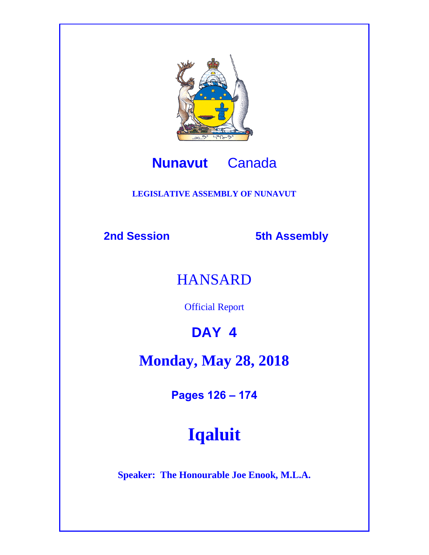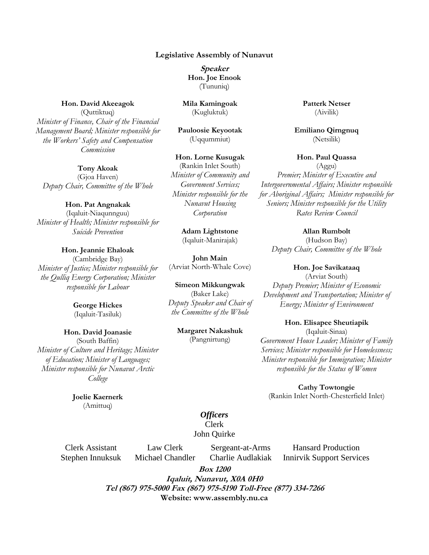#### **Legislative Assembly of Nunavut**

**Speaker Hon. Joe Enook** (Tununiq)

**Mila Kamingoak** (Kugluktuk)

**Pauloosie Keyootak** (Uqqummiut)

**Hon. Lorne Kusugak** (Rankin Inlet South) *Minister of Community and Government Services; Minister responsible for the Nunavut Housing Corporation*

> **Adam Lightstone** (Iqaluit-Manirajak)

**John Main** (Arviat North-Whale Cove)

**Simeon Mikkungwak** (Baker Lake) *Deputy Speaker and Chair of the Committee of the Whole*

> **Margaret Nakashuk** (Pangnirtung)

#### **Patterk Netser** (Aivilik)

**Emiliano Qirngnuq** (Netsilik)

**Hon. Paul Quassa** (Aggu) *Premier; Minister of Executive and Intergovernmental Affairs; Minister responsible for Aboriginal Affairs; Minister responsible for Seniors; Minister responsible for the Utility Rates Review Council*

> **Allan Rumbolt** (Hudson Bay)

*Deputy Chair, Committee of the Whole*

**Hon. Joe Savikataaq**

(Arviat South) *Deputy Premier; Minister of Economic Development and Transportation; Minister of Energy; Minister of Environment* 

**Hon. Elisapee Sheutiapik** (Iqaluit-Sinaa) *Government House Leader; Minister of Family Services; Minister responsible for Homelessness; Minister responsible for Immigration; Minister responsible for the Status of Women* 

**Cathy Towtongie** (Rankin Inlet North-Chesterfield Inlet)

*Officers*  Clerk John Quirke

Clerk Assistant Stephen Innuksuk

Law Clerk Michael Chandler

Sergeant-at-Arms Charlie Audlakiak

Hansard Production Innirvik Support Services

**Box 1200**

**Iqaluit, Nunavut, X0A 0H0 Tel (867) 975-5000 Fax (867) 975-5190 Toll-Free (877) 334-7266 Website: www.assembly.nu.ca**

# **Hon. David Akeeagok**

(Quttiktuq) *Minister of Finance, Chair of the Financial Management Board; Minister responsible for the Workers' Safety and Compensation Commission*

> **Tony Akoak** (Gjoa Haven)

*Deputy Chair, Committee of the Whole*

#### **Hon. Pat Angnakak**

(Iqaluit-Niaqunnguu) *Minister of Health; Minister responsible for Suicide Prevention*

**Hon. Jeannie Ehaloak** (Cambridge Bay) *Minister of Justice; Minister responsible for the Qulliq Energy Corporation; Minister responsible for Labour*

> **George Hickes** (Iqaluit-Tasiluk)

**Hon. David Joanasie** (South Baffin) *Minister of Culture and Heritage; Minister of Education; Minister of Languages; Minister responsible for Nunavut Arctic College*

> **Joelie Kaernerk** (Amittuq)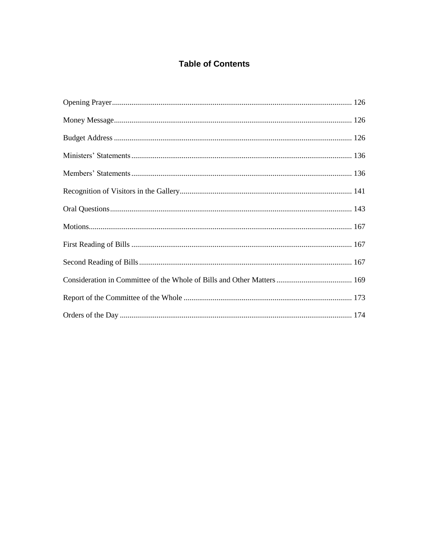# **Table of Contents**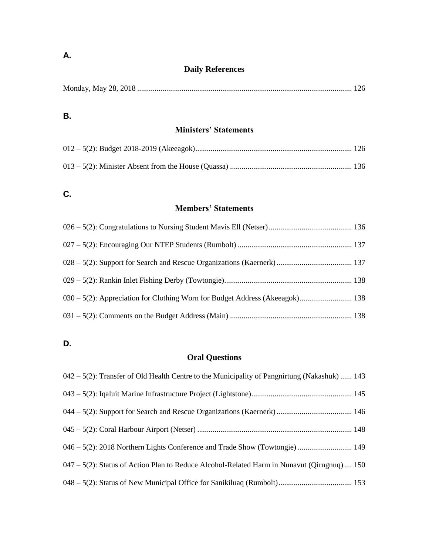# **Daily References**

|--|--|--|--|

# **B.**

# **Ministers' Statements**

# **C.**

# **Members' Statements**

| 030 – 5(2): Appreciation for Clothing Worn for Budget Address (Akeeagok) 138 |  |
|------------------------------------------------------------------------------|--|
|                                                                              |  |

# **D.**

# **Oral Questions**

| $042 - 5(2)$ : Transfer of Old Health Centre to the Municipality of Pangnirtung (Nakashuk)  143 |  |
|-------------------------------------------------------------------------------------------------|--|
|                                                                                                 |  |
|                                                                                                 |  |
|                                                                                                 |  |
|                                                                                                 |  |
| $047 - 5(2)$ : Status of Action Plan to Reduce Alcohol-Related Harm in Nunavut (Qirngnuq) 150   |  |
|                                                                                                 |  |

# **A.**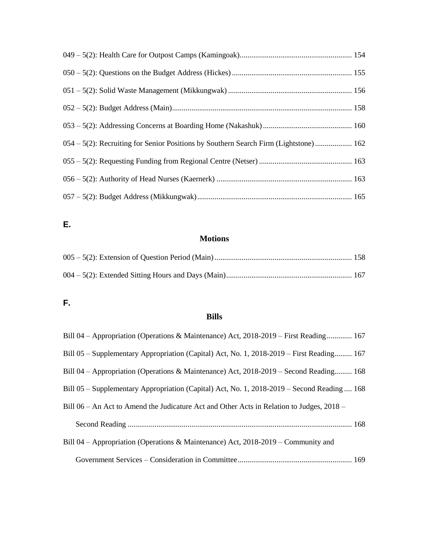| 054 – 5(2): Recruiting for Senior Positions by Southern Search Firm (Lightstone) 162 |  |
|--------------------------------------------------------------------------------------|--|
|                                                                                      |  |
|                                                                                      |  |
|                                                                                      |  |

# **E.**

# **Motions**

# **F.**

# **Bills**

| Bill 04 – Appropriation (Operations & Maintenance) Act, 2018-2019 – First Reading 167       |  |
|---------------------------------------------------------------------------------------------|--|
| Bill 05 – Supplementary Appropriation (Capital) Act, No. 1, 2018-2019 – First Reading 167   |  |
| Bill 04 – Appropriation (Operations & Maintenance) Act, 2018-2019 – Second Reading 168      |  |
| Bill 05 – Supplementary Appropriation (Capital) Act, No. 1, 2018-2019 – Second Reading  168 |  |
| Bill 06 – An Act to Amend the Judicature Act and Other Acts in Relation to Judges, $2018$ – |  |
|                                                                                             |  |
| Bill 04 – Appropriation (Operations & Maintenance) Act, $2018-2019$ – Community and         |  |
|                                                                                             |  |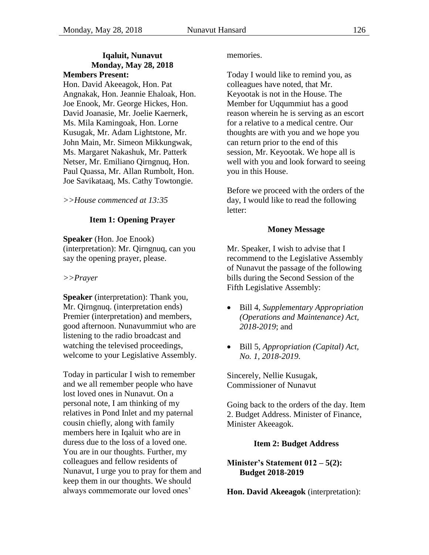#### <span id="page-5-3"></span>**Iqaluit, Nunavut Monday, May 28, 2018 Members Present:**

Hon. David Akeeagok, Hon. Pat Angnakak, Hon. Jeannie Ehaloak, Hon. Joe Enook, Mr. George Hickes, Hon. David Joanasie, Mr. Joelie Kaernerk, Ms. Mila Kamingoak, Hon. Lorne Kusugak, Mr. Adam Lightstone, Mr. John Main, Mr. Simeon Mikkungwak, Ms. Margaret Nakashuk, Mr. Patterk Netser, Mr. Emiliano Qirngnuq, Hon. Paul Quassa, Mr. Allan Rumbolt, Hon. Joe Savikataaq, Ms. Cathy Towtongie.

<span id="page-5-0"></span>*>>House commenced at 13:35*

### **Item 1: Opening Prayer**

**Speaker** (Hon. Joe Enook) (interpretation): Mr. Qirngnuq, can you say the opening prayer, please.

#### *>>Prayer*

**Speaker** (interpretation): Thank you, Mr. Qirngnuq. (interpretation ends) Premier (interpretation) and members, good afternoon. Nunavummiut who are listening to the radio broadcast and watching the televised proceedings, welcome to your Legislative Assembly.

Today in particular I wish to remember and we all remember people who have lost loved ones in Nunavut. On a personal note, I am thinking of my relatives in Pond Inlet and my paternal cousin chiefly, along with family members here in Iqaluit who are in duress due to the loss of a loved one. You are in our thoughts. Further, my colleagues and fellow residents of Nunavut, I urge you to pray for them and keep them in our thoughts. We should always commemorate our loved ones'

memories.

Today I would like to remind you, as colleagues have noted, that Mr. Keyootak is not in the House. The Member for Uqqummiut has a good reason wherein he is serving as an escort for a relative to a medical centre. Our thoughts are with you and we hope you can return prior to the end of this session, Mr. Keyootak. We hope all is well with you and look forward to seeing you in this House.

Before we proceed with the orders of the day, I would like to read the following letter:

#### **Money Message**

<span id="page-5-1"></span>Mr. Speaker, I wish to advise that I recommend to the Legislative Assembly of Nunavut the passage of the following bills during the Second Session of the Fifth Legislative Assembly:

- Bill 4, *Supplementary Appropriation (Operations and Maintenance) Act, 2018-2019*; and
- Bill 5, *Appropriation (Capital) Act, No. 1, 2018-2019*.

Sincerely, Nellie Kusugak, Commissioner of Nunavut

Going back to the orders of the day. Item 2. Budget Address. Minister of Finance, Minister Akeeagok.

### **Item 2: Budget Address**

### <span id="page-5-4"></span><span id="page-5-2"></span>**Minister's Statement 012 – 5(2): Budget 2018-2019 (Akeeagok)**

**Hon. David Akeeagok** (interpretation):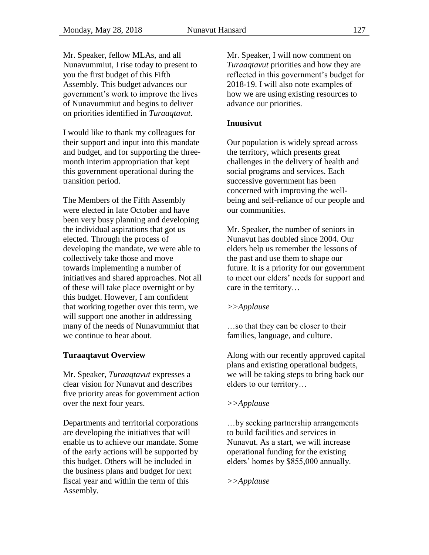Mr. Speaker, fellow MLAs, and all Nunavummiut, I rise today to present to you the first budget of this Fifth Assembly. This budget advances our government's work to improve the lives of Nunavummiut and begins to deliver on priorities identified in *Turaaqtavut*.

I would like to thank my colleagues for their support and input into this mandate and budget, and for supporting the threemonth interim appropriation that kept this government operational during the transition period.

The Members of the Fifth Assembly were elected in late October and have been very busy planning and developing the individual aspirations that got us elected. Through the process of developing the mandate, we were able to collectively take those and move towards implementing a number of initiatives and shared approaches. Not all of these will take place overnight or by this budget. However, I am confident that working together over this term, we will support one another in addressing many of the needs of Nunavummiut that we continue to hear about.

## **Turaaqtavut Overview**

Mr. Speaker, *Turaaqtavut* expresses a clear vision for Nunavut and describes five priority areas for government action over the next four years.

Departments and territorial corporations are developing the initiatives that will enable us to achieve our mandate. Some of the early actions will be supported by this budget. Others will be included in the business plans and budget for next fiscal year and within the term of this Assembly.

Mr. Speaker, I will now comment on *Turaaqtavut* priorities and how they are reflected in this government's budget for 2018-19. I will also note examples of how we are using existing resources to advance our priorities.

### **Inuusivut**

Our population is widely spread across the territory, which presents great challenges in the delivery of health and social programs and services. Each successive government has been concerned with improving the wellbeing and self-reliance of our people and our communities.

Mr. Speaker, the number of seniors in Nunavut has doubled since 2004. Our elders help us remember the lessons of the past and use them to shape our future. It is a priority for our government to meet our elders' needs for support and care in the territory…

### *>>Applause*

…so that they can be closer to their families, language, and culture.

Along with our recently approved capital plans and existing operational budgets, we will be taking steps to bring back our elders to our territory…

### *>>Applause*

…by seeking partnership arrangements to build facilities and services in Nunavut. As a start, we will increase operational funding for the existing elders' homes by \$855,000 annually.

*>>Applause*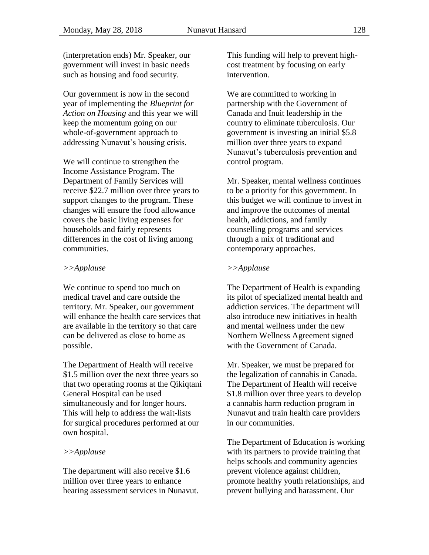(interpretation ends) Mr. Speaker, our government will invest in basic needs such as housing and food security.

Our government is now in the second year of implementing the *Blueprint for Action on Housing* and this year we will keep the momentum going on our whole-of-government approach to addressing Nunavut's housing crisis.

We will continue to strengthen the Income Assistance Program. The Department of Family Services will receive \$22.7 million over three years to support changes to the program. These changes will ensure the food allowance covers the basic living expenses for households and fairly represents differences in the cost of living among communities.

#### *>>Applause*

We continue to spend too much on medical travel and care outside the territory. Mr. Speaker, our government will enhance the health care services that are available in the territory so that care can be delivered as close to home as possible.

The Department of Health will receive \$1.5 million over the next three years so that two operating rooms at the Qikiqtani General Hospital can be used simultaneously and for longer hours. This will help to address the wait-lists for surgical procedures performed at our own hospital.

### *>>Applause*

The department will also receive \$1.6 million over three years to enhance hearing assessment services in Nunavut. This funding will help to prevent highcost treatment by focusing on early intervention.

We are committed to working in partnership with the Government of Canada and Inuit leadership in the country to eliminate tuberculosis. Our government is investing an initial \$5.8 million over three years to expand Nunavut's tuberculosis prevention and control program.

Mr. Speaker, mental wellness continues to be a priority for this government. In this budget we will continue to invest in and improve the outcomes of mental health, addictions, and family counselling programs and services through a mix of traditional and contemporary approaches.

### *>>Applause*

The Department of Health is expanding its pilot of specialized mental health and addiction services. The department will also introduce new initiatives in health and mental wellness under the new Northern Wellness Agreement signed with the Government of Canada.

Mr. Speaker, we must be prepared for the legalization of cannabis in Canada. The Department of Health will receive \$1.8 million over three years to develop a cannabis harm reduction program in Nunavut and train health care providers in our communities.

The Department of Education is working with its partners to provide training that helps schools and community agencies prevent violence against children, promote healthy youth relationships, and prevent bullying and harassment. Our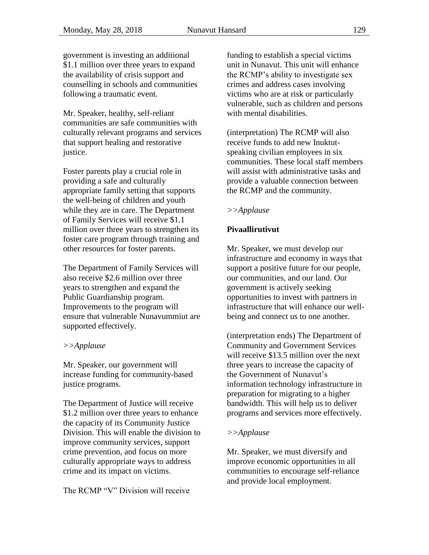government is investing an additional \$1.1 million over three years to expand the availability of crisis support and counselling in schools and communities following a traumatic event.

Mr. Speaker, healthy, self-reliant communities are safe communities with culturally relevant programs and services that support healing and restorative justice.

Foster parents play a crucial role in providing a safe and culturally appropriate family setting that supports the well-being of children and youth while they are in care. The Department of Family Services will receive \$1.1 million over three years to strengthen its foster care program through training and other resources for foster parents.

The Department of Family Services will also receive \$2.6 million over three years to strengthen and expand the Public Guardianship program. Improvements to the program will ensure that vulnerable Nunavummiut are supported effectively.

### *>>Applause*

Mr. Speaker, our government will increase funding for community-based justice programs.

The Department of Justice will receive \$1.2 million over three years to enhance the capacity of its Community Justice Division. This will enable the division to improve community services, support crime prevention, and focus on more culturally appropriate ways to address crime and its impact on victims.

The RCMP "V" Division will receive

funding to establish a special victims unit in Nunavut. This unit will enhance the RCMP's ability to investigate sex crimes and address cases involving victims who are at risk or particularly vulnerable, such as children and persons with mental disabilities.

(interpretation) The RCMP will also receive funds to add new Inuktutspeaking civilian employees in six communities. These local staff members will assist with administrative tasks and provide a valuable connection between the RCMP and the community.

### *>>Applause*

### **Pivaallirutivut**

Mr. Speaker, we must develop our infrastructure and economy in ways that support a positive future for our people, our communities, and our land. Our government is actively seeking opportunities to invest with partners in infrastructure that will enhance our wellbeing and connect us to one another.

(interpretation ends) The Department of Community and Government Services will receive \$13.5 million over the next three years to increase the capacity of the Government of Nunavut's information technology infrastructure in preparation for migrating to a higher bandwidth. This will help us to deliver programs and services more effectively.

### *>>Applause*

Mr. Speaker, we must diversify and improve economic opportunities in all communities to encourage self-reliance and provide local employment.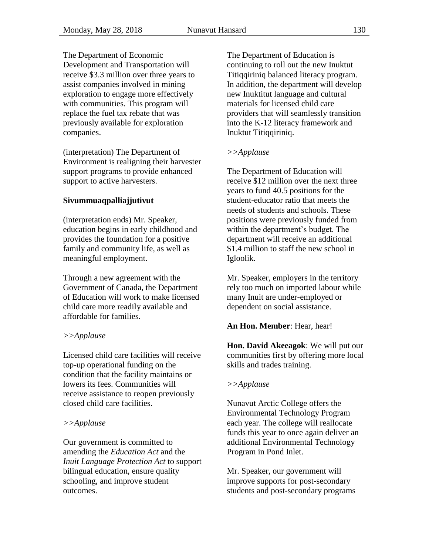The Department of Economic Development and Transportation will receive \$3.3 million over three years to assist companies involved in mining exploration to engage more effectively with communities. This program will replace the fuel tax rebate that was previously available for exploration companies.

(interpretation) The Department of Environment is realigning their harvester support programs to provide enhanced support to active harvesters.

# **Sivummuaqpalliajjutivut**

(interpretation ends) Mr. Speaker, education begins in early childhood and provides the foundation for a positive family and community life, as well as meaningful employment.

Through a new agreement with the Government of Canada, the Department of Education will work to make licensed child care more readily available and affordable for families.

### *>>Applause*

Licensed child care facilities will receive top-up operational funding on the condition that the facility maintains or lowers its fees. Communities will receive assistance to reopen previously closed child care facilities.

### *>>Applause*

Our government is committed to amending the *Education Act* and the *Inuit Language Protection Act* to support bilingual education, ensure quality schooling, and improve student outcomes.

The Department of Education is continuing to roll out the new Inuktut Titiqqiriniq balanced literacy program. In addition, the department will develop new Inuktitut language and cultural materials for licensed child care providers that will seamlessly transition into the K-12 literacy framework and Inuktut Titiqqiriniq.

### *>>Applause*

The Department of Education will receive \$12 million over the next three years to fund 40.5 positions for the student-educator ratio that meets the needs of students and schools. These positions were previously funded from within the department's budget. The department will receive an additional \$1.4 million to staff the new school in Igloolik.

Mr. Speaker, employers in the territory rely too much on imported labour while many Inuit are under-employed or dependent on social assistance.

### **An Hon. Member**: Hear, hear!

**Hon. David Akeeagok**: We will put our communities first by offering more local skills and trades training.

### *>>Applause*

Nunavut Arctic College offers the Environmental Technology Program each year. The college will reallocate funds this year to once again deliver an additional Environmental Technology Program in Pond Inlet.

Mr. Speaker, our government will improve supports for post-secondary students and post-secondary programs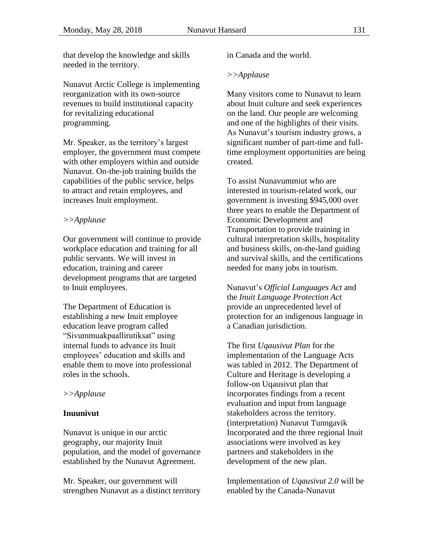that develop the knowledge and skills needed in the territory.

Nunavut Arctic College is implementing reorganization with its own-source revenues to build institutional capacity for revitalizing educational programming.

Mr. Speaker, as the territory's largest employer, the government must compete with other employers within and outside Nunavut. On-the-job training builds the capabilities of the public service, helps to attract and retain employees, and increases Inuit employment.

### *>>Applause*

Our government will continue to provide workplace education and training for all public servants. We will invest in education, training and career development programs that are targeted to Inuit employees.

The Department of Education is establishing a new Inuit employee education leave program called "Sivummuakpaallirutiksat" using internal funds to advance its Inuit employees' education and skills and enable them to move into professional roles in the schools.

### *>>Applause*

### **Inuunivut**

Nunavut is unique in our arctic geography, our majority Inuit population, and the model of governance established by the Nunavut Agreement.

Mr. Speaker, our government will strengthen Nunavut as a distinct territory in Canada and the world.

### *>>Applause*

Many visitors come to Nunavut to learn about Inuit culture and seek experiences on the land. Our people are welcoming and one of the highlights of their visits. As Nunavut's tourism industry grows, a significant number of part-time and fulltime employment opportunities are being created.

To assist Nunavummiut who are interested in tourism-related work, our government is investing \$945,000 over three years to enable the Department of Economic Development and Transportation to provide training in cultural interpretation skills, hospitality and business skills, on-the-land guiding and survival skills, and the certifications needed for many jobs in tourism.

Nunavut's *Official Languages Act* and the *Inuit Language Protection Act* provide an unprecedented level of protection for an indigenous language in a Canadian jurisdiction.

The first *Uqausivut Plan* for the implementation of the Language Acts was tabled in 2012. The Department of Culture and Heritage is developing a follow-on Uqausivut plan that incorporates findings from a recent evaluation and input from language stakeholders across the territory. (interpretation) Nunavut Tunngavik Incorporated and the three regional Inuit associations were involved as key partners and stakeholders in the development of the new plan.

Implementation of *Uqausivut 2.0* will be enabled by the Canada-Nunavut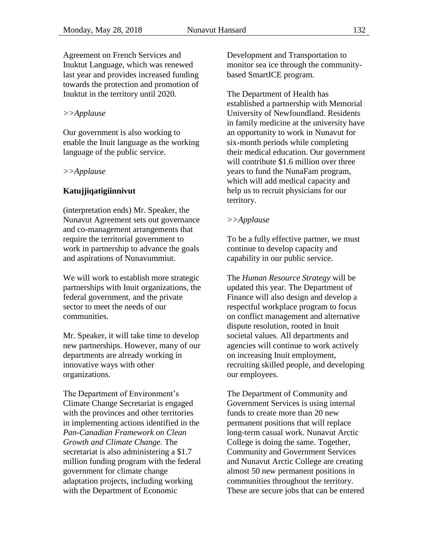Agreement on French Services and Inuktut Language, which was renewed last year and provides increased funding towards the protection and promotion of Inuktut in the territory until 2020.

#### *>>Applause*

Our government is also working to enable the Inuit language as the working language of the public service.

#### *>>Applause*

#### **Katujjiqatigiinnivut**

(interpretation ends) Mr. Speaker, the Nunavut Agreement sets out governance and co-management arrangements that require the territorial government to work in partnership to advance the goals and aspirations of Nunavummiut.

We will work to establish more strategic partnerships with Inuit organizations, the federal government, and the private sector to meet the needs of our communities.

Mr. Speaker, it will take time to develop new partnerships. However, many of our departments are already working in innovative ways with other organizations.

The Department of Environment's Climate Change Secretariat is engaged with the provinces and other territories in implementing actions identified in the *Pan-Canadian Framework on Clean Growth and Climate Change*. The secretariat is also administering a \$1.7 million funding program with the federal government for climate change adaptation projects, including working with the Department of Economic

Development and Transportation to monitor sea ice through the communitybased SmartICE program.

The Department of Health has established a partnership with Memorial University of Newfoundland. Residents in family medicine at the university have an opportunity to work in Nunavut for six-month periods while completing their medical education. Our government will contribute \$1.6 million over three years to fund the NunaFam program, which will add medical capacity and help us to recruit physicians for our territory.

#### *>>Applause*

To be a fully effective partner, we must continue to develop capacity and capability in our public service.

The *Human Resource Strategy* will be updated this year. The Department of Finance will also design and develop a respectful workplace program to focus on conflict management and alternative dispute resolution, rooted in Inuit societal values. All departments and agencies will continue to work actively on increasing Inuit employment, recruiting skilled people, and developing our employees.

The Department of Community and Government Services is using internal funds to create more than 20 new permanent positions that will replace long-term casual work. Nunavut Arctic College is doing the same. Together, Community and Government Services and Nunavut Arctic College are creating almost 50 new permanent positions in communities throughout the territory. These are secure jobs that can be entered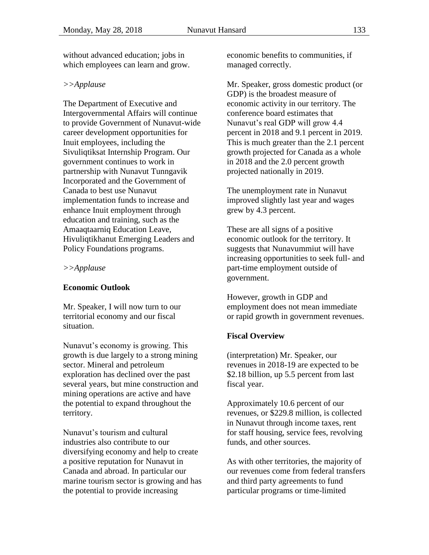without advanced education; jobs in which employees can learn and grow.

#### *>>Applause*

The Department of Executive and Intergovernmental Affairs will continue to provide Government of Nunavut-wide career development opportunities for Inuit employees, including the Sivuliqtiksat Internship Program. Our government continues to work in partnership with Nunavut Tunngavik Incorporated and the Government of Canada to best use Nunavut implementation funds to increase and enhance Inuit employment through education and training, such as the Amaaqtaarniq Education Leave, Hivuliqtikhanut Emerging Leaders and Policy Foundations programs.

#### *>>Applause*

### **Economic Outlook**

Mr. Speaker, I will now turn to our territorial economy and our fiscal situation.

Nunavut's economy is growing. This growth is due largely to a strong mining sector. Mineral and petroleum exploration has declined over the past several years, but mine construction and mining operations are active and have the potential to expand throughout the territory.

Nunavut's tourism and cultural industries also contribute to our diversifying economy and help to create a positive reputation for Nunavut in Canada and abroad. In particular our marine tourism sector is growing and has the potential to provide increasing

economic benefits to communities, if managed correctly.

Mr. Speaker, gross domestic product (or GDP) is the broadest measure of economic activity in our territory. The conference board estimates that Nunavut's real GDP will grow 4.4 percent in 2018 and 9.1 percent in 2019. This is much greater than the 2.1 percent growth projected for Canada as a whole in 2018 and the 2.0 percent growth projected nationally in 2019.

The unemployment rate in Nunavut improved slightly last year and wages grew by 4.3 percent.

These are all signs of a positive economic outlook for the territory. It suggests that Nunavummiut will have increasing opportunities to seek full- and part-time employment outside of government.

However, growth in GDP and employment does not mean immediate or rapid growth in government revenues.

### **Fiscal Overview**

(interpretation) Mr. Speaker, our revenues in 2018-19 are expected to be \$2.18 billion, up 5.5 percent from last fiscal year.

Approximately 10.6 percent of our revenues, or \$229.8 million, is collected in Nunavut through income taxes, rent for staff housing, service fees, revolving funds, and other sources.

As with other territories, the majority of our revenues come from federal transfers and third party agreements to fund particular programs or time-limited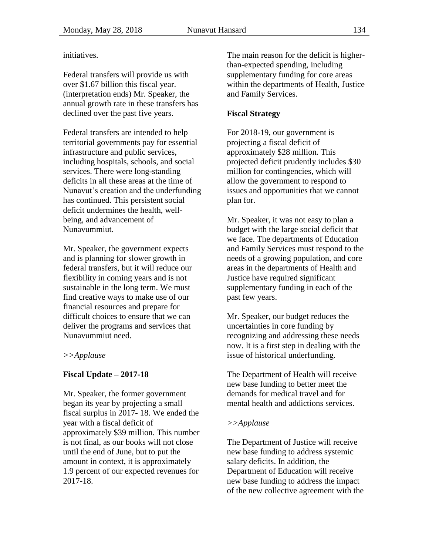initiatives.

Federal transfers will provide us with over \$1.67 billion this fiscal year. (interpretation ends) Mr. Speaker, the annual growth rate in these transfers has declined over the past five years.

Federal transfers are intended to help territorial governments pay for essential infrastructure and public services, including hospitals, schools, and social services. There were long-standing deficits in all these areas at the time of Nunavut's creation and the underfunding has continued. This persistent social deficit undermines the health, wellbeing, and advancement of Nunavummiut.

Mr. Speaker, the government expects and is planning for slower growth in federal transfers, but it will reduce our flexibility in coming years and is not sustainable in the long term. We must find creative ways to make use of our financial resources and prepare for difficult choices to ensure that we can deliver the programs and services that Nunavummiut need.

### *>>Applause*

## **Fiscal Update – 2017-18**

Mr. Speaker, the former government began its year by projecting a small fiscal surplus in 2017- 18. We ended the year with a fiscal deficit of approximately \$39 million. This number is not final, as our books will not close until the end of June, but to put the amount in context, it is approximately 1.9 percent of our expected revenues for 2017-18.

The main reason for the deficit is higherthan-expected spending, including supplementary funding for core areas within the departments of Health, Justice and Family Services.

### **Fiscal Strategy**

For 2018-19, our government is projecting a fiscal deficit of approximately \$28 million. This projected deficit prudently includes \$30 million for contingencies, which will allow the government to respond to issues and opportunities that we cannot plan for.

Mr. Speaker, it was not easy to plan a budget with the large social deficit that we face. The departments of Education and Family Services must respond to the needs of a growing population, and core areas in the departments of Health and Justice have required significant supplementary funding in each of the past few years.

Mr. Speaker, our budget reduces the uncertainties in core funding by recognizing and addressing these needs now. It is a first step in dealing with the issue of historical underfunding.

The Department of Health will receive new base funding to better meet the demands for medical travel and for mental health and addictions services.

### *>>Applause*

The Department of Justice will receive new base funding to address systemic salary deficits. In addition, the Department of Education will receive new base funding to address the impact of the new collective agreement with the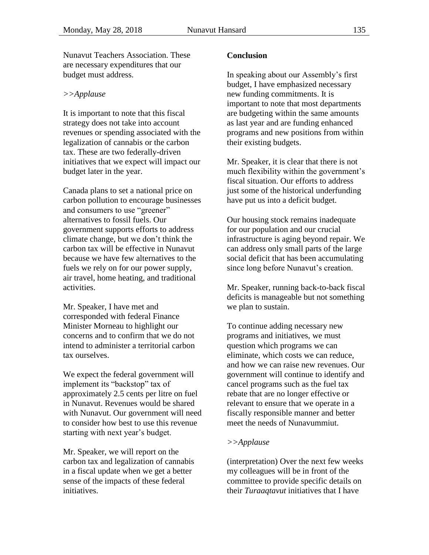Nunavut Teachers Association. These are necessary expenditures that our budget must address.

#### *>>Applause*

It is important to note that this fiscal strategy does not take into account revenues or spending associated with the legalization of cannabis or the carbon tax. These are two federally-driven initiatives that we expect will impact our budget later in the year.

Canada plans to set a national price on carbon pollution to encourage businesses and consumers to use "greener" alternatives to fossil fuels. Our government supports efforts to address climate change, but we don't think the carbon tax will be effective in Nunavut because we have few alternatives to the fuels we rely on for our power supply, air travel, home heating, and traditional activities.

Mr. Speaker, I have met and corresponded with federal Finance Minister Morneau to highlight our concerns and to confirm that we do not intend to administer a territorial carbon tax ourselves.

We expect the federal government will implement its "backstop" tax of approximately 2.5 cents per litre on fuel in Nunavut. Revenues would be shared with Nunavut. Our government will need to consider how best to use this revenue starting with next year's budget.

Mr. Speaker, we will report on the carbon tax and legalization of cannabis in a fiscal update when we get a better sense of the impacts of these federal initiatives.

#### **Conclusion**

In speaking about our Assembly's first budget, I have emphasized necessary new funding commitments. It is important to note that most departments are budgeting within the same amounts as last year and are funding enhanced programs and new positions from within their existing budgets.

Mr. Speaker, it is clear that there is not much flexibility within the government's fiscal situation. Our efforts to address just some of the historical underfunding have put us into a deficit budget.

Our housing stock remains inadequate for our population and our crucial infrastructure is aging beyond repair. We can address only small parts of the large social deficit that has been accumulating since long before Nunavut's creation.

Mr. Speaker, running back-to-back fiscal deficits is manageable but not something we plan to sustain.

To continue adding necessary new programs and initiatives, we must question which programs we can eliminate, which costs we can reduce, and how we can raise new revenues. Our government will continue to identify and cancel programs such as the fuel tax rebate that are no longer effective or relevant to ensure that we operate in a fiscally responsible manner and better meet the needs of Nunavummiut.

#### *>>Applause*

(interpretation) Over the next few weeks my colleagues will be in front of the committee to provide specific details on their *Turaaqtavut* initiatives that I have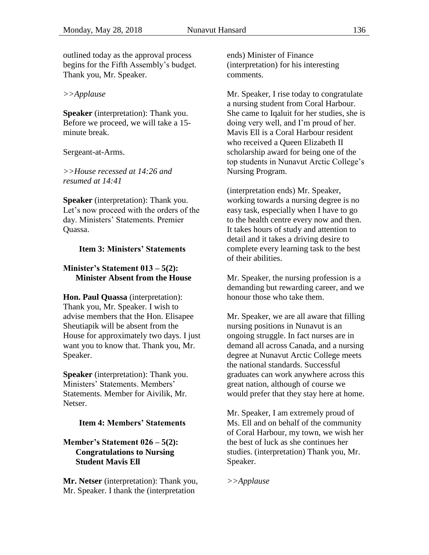outlined today as the approval process begins for the Fifth Assembly's budget. Thank you, Mr. Speaker.

#### *>>Applause*

**Speaker** (interpretation): Thank you. Before we proceed, we will take a 15 minute break.

Sergeant-at-Arms.

*>>House recessed at 14:26 and resumed at 14:41*

**Speaker** (interpretation): Thank you. Let's now proceed with the orders of the day. Ministers' Statements. Premier Quassa.

#### <span id="page-15-0"></span>**Item 3: Ministers' Statements**

#### <span id="page-15-2"></span>**Minister's Statement 013 – 5(2): Minister Absent from the House**

**Hon. Paul Quassa** (interpretation): Thank you, Mr. Speaker. I wish to advise members that the Hon. Elisapee Sheutiapik will be absent from the House for approximately two days. I just want you to know that. Thank you, Mr. Speaker.

**Speaker** (interpretation): Thank you. Ministers' Statements. Members' Statements. Member for Aivilik, Mr. Netser.

#### <span id="page-15-1"></span>**Item 4: Members' Statements**

#### <span id="page-15-3"></span>**Member's Statement 026 – 5(2): Congratulations to Nursing Student Mavis Ell**

**Mr. Netser** (interpretation): Thank you, Mr. Speaker. I thank the (interpretation

ends) Minister of Finance (interpretation) for his interesting comments.

Mr. Speaker, I rise today to congratulate a nursing student from Coral Harbour. She came to Iqaluit for her studies, she is doing very well, and I'm proud of her. Mavis Ell is a Coral Harbour resident who received a Queen Elizabeth II scholarship award for being one of the top students in Nunavut Arctic College's Nursing Program.

(interpretation ends) Mr. Speaker, working towards a nursing degree is no easy task, especially when I have to go to the health centre every now and then. It takes hours of study and attention to detail and it takes a driving desire to complete every learning task to the best of their abilities.

Mr. Speaker, the nursing profession is a demanding but rewarding career, and we honour those who take them.

Mr. Speaker, we are all aware that filling nursing positions in Nunavut is an ongoing struggle. In fact nurses are in demand all across Canada, and a nursing degree at Nunavut Arctic College meets the national standards. Successful graduates can work anywhere across this great nation, although of course we would prefer that they stay here at home.

Mr. Speaker, I am extremely proud of Ms. Ell and on behalf of the community of Coral Harbour, my town, we wish her the best of luck as she continues her studies. (interpretation) Thank you, Mr. Speaker.

*>>Applause*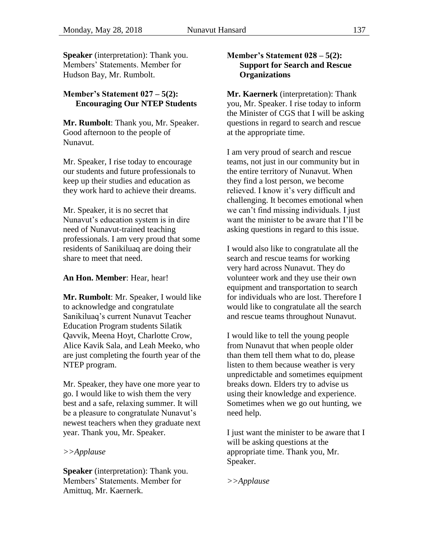**Speaker** (interpretation): Thank you. Members' Statements. Member for Hudson Bay, Mr. Rumbolt.

### <span id="page-16-0"></span>**Member's Statement 027 – 5(2): Encouraging Our NTEP Students**

**Mr. Rumbolt**: Thank you, Mr. Speaker. Good afternoon to the people of Nunavut.

Mr. Speaker, I rise today to encourage our students and future professionals to keep up their studies and education as they work hard to achieve their dreams.

Mr. Speaker, it is no secret that Nunavut's education system is in dire need of Nunavut-trained teaching professionals. I am very proud that some residents of Sanikiluaq are doing their share to meet that need.

**An Hon. Member**: Hear, hear!

**Mr. Rumbolt**: Mr. Speaker, I would like to acknowledge and congratulate Sanikiluaq's current Nunavut Teacher Education Program students Silatik Qavvik, Meena Hoyt, Charlotte Crow, Alice Kavik Sala, and Leah Meeko, who are just completing the fourth year of the NTEP program.

Mr. Speaker, they have one more year to go. I would like to wish them the very best and a safe, relaxing summer. It will be a pleasure to congratulate Nunavut's newest teachers when they graduate next year. Thank you, Mr. Speaker.

#### *>>Applause*

**Speaker** (interpretation): Thank you. Members' Statements. Member for Amittuq, Mr. Kaernerk.

#### <span id="page-16-1"></span>**Member's Statement 028 – 5(2): Support for Search and Rescue Organizations**

**Mr. Kaernerk** (interpretation): Thank you, Mr. Speaker. I rise today to inform the Minister of CGS that I will be asking questions in regard to search and rescue at the appropriate time.

I am very proud of search and rescue teams, not just in our community but in the entire territory of Nunavut. When they find a lost person, we become relieved. I know it's very difficult and challenging. It becomes emotional when we can't find missing individuals. I just want the minister to be aware that I'll be asking questions in regard to this issue.

I would also like to congratulate all the search and rescue teams for working very hard across Nunavut. They do volunteer work and they use their own equipment and transportation to search for individuals who are lost. Therefore I would like to congratulate all the search and rescue teams throughout Nunavut.

I would like to tell the young people from Nunavut that when people older than them tell them what to do, please listen to them because weather is very unpredictable and sometimes equipment breaks down. Elders try to advise us using their knowledge and experience. Sometimes when we go out hunting, we need help.

I just want the minister to be aware that I will be asking questions at the appropriate time. Thank you, Mr. Speaker.

*>>Applause*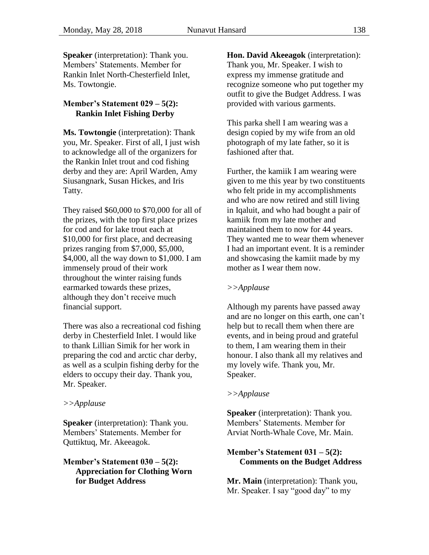**Speaker** (interpretation): Thank you. Members' Statements. Member for Rankin Inlet North-Chesterfield Inlet, Ms. Towtongie.

### <span id="page-17-0"></span>**Member's Statement 029 – 5(2): Rankin Inlet Fishing Derby**

**Ms. Towtongie** (interpretation): Thank you, Mr. Speaker. First of all, I just wish to acknowledge all of the organizers for the Rankin Inlet trout and cod fishing derby and they are: April Warden, Amy Siusangnark, Susan Hickes, and Iris Tatty.

They raised \$60,000 to \$70,000 for all of the prizes, with the top first place prizes for cod and for lake trout each at \$10,000 for first place, and decreasing prizes ranging from \$7,000, \$5,000, \$4,000, all the way down to \$1,000. I am immensely proud of their work throughout the winter raising funds earmarked towards these prizes, although they don't receive much financial support.

There was also a recreational cod fishing derby in Chesterfield Inlet. I would like to thank Lillian Simik for her work in preparing the cod and arctic char derby, as well as a sculpin fishing derby for the elders to occupy their day. Thank you, Mr. Speaker.

#### *>>Applause*

**Speaker** (interpretation): Thank you. Members' Statements. Member for Quttiktuq, Mr. Akeeagok.

### <span id="page-17-1"></span>**Member's Statement 030 – 5(2): Appreciation for Clothing Worn for Budget Address**

**Hon. David Akeeagok** (interpretation): Thank you, Mr. Speaker. I wish to express my immense gratitude and recognize someone who put together my outfit to give the Budget Address. I was provided with various garments.

This parka shell I am wearing was a design copied by my wife from an old photograph of my late father, so it is fashioned after that.

Further, the kamiik I am wearing were given to me this year by two constituents who felt pride in my accomplishments and who are now retired and still living in Iqaluit, and who had bought a pair of kamiik from my late mother and maintained them to now for 44 years. They wanted me to wear them whenever I had an important event. It is a reminder and showcasing the kamiit made by my mother as I wear them now.

#### *>>Applause*

Although my parents have passed away and are no longer on this earth, one can't help but to recall them when there are events, and in being proud and grateful to them, I am wearing them in their honour. I also thank all my relatives and my lovely wife. Thank you, Mr. Speaker.

#### *>>Applause*

**Speaker** (interpretation): Thank you. Members' Statements. Member for Arviat North-Whale Cove, Mr. Main.

### <span id="page-17-2"></span>**Member's Statement 031 – 5(2): Comments on the Budget Address**

**Mr. Main** (interpretation): Thank you, Mr. Speaker. I say "good day" to my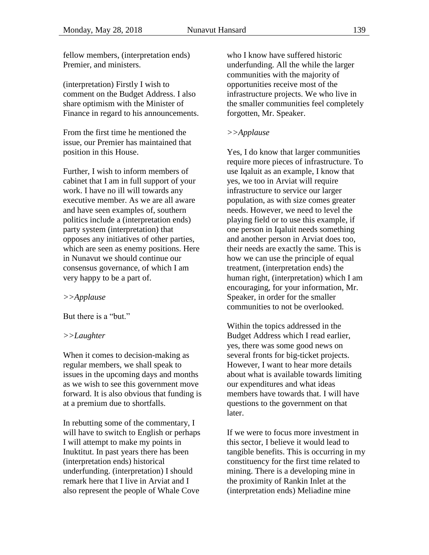fellow members, (interpretation ends) Premier, and ministers.

(interpretation) Firstly I wish to comment on the Budget Address. I also share optimism with the Minister of Finance in regard to his announcements.

From the first time he mentioned the issue, our Premier has maintained that position in this House.

Further, I wish to inform members of cabinet that I am in full support of your work. I have no ill will towards any executive member. As we are all aware and have seen examples of, southern politics include a (interpretation ends) party system (interpretation) that opposes any initiatives of other parties, which are seen as enemy positions. Here in Nunavut we should continue our consensus governance, of which I am very happy to be a part of.

#### *>>Applause*

But there is a "but."

#### *>>Laughter*

When it comes to decision-making as regular members, we shall speak to issues in the upcoming days and months as we wish to see this government move forward. It is also obvious that funding is at a premium due to shortfalls.

In rebutting some of the commentary, I will have to switch to English or perhaps I will attempt to make my points in Inuktitut. In past years there has been (interpretation ends) historical underfunding. (interpretation) I should remark here that I live in Arviat and I also represent the people of Whale Cove

who I know have suffered historic underfunding. All the while the larger communities with the majority of opportunities receive most of the infrastructure projects. We who live in the smaller communities feel completely forgotten, Mr. Speaker.

#### *>>Applause*

Yes, I do know that larger communities require more pieces of infrastructure. To use Iqaluit as an example, I know that yes, we too in Arviat will require infrastructure to service our larger population, as with size comes greater needs. However, we need to level the playing field or to use this example, if one person in Iqaluit needs something and another person in Arviat does too, their needs are exactly the same. This is how we can use the principle of equal treatment, (interpretation ends) the human right, (interpretation) which I am encouraging, for your information, Mr. Speaker, in order for the smaller communities to not be overlooked.

Within the topics addressed in the Budget Address which I read earlier, yes, there was some good news on several fronts for big-ticket projects. However, I want to hear more details about what is available towards limiting our expenditures and what ideas members have towards that. I will have questions to the government on that later.

If we were to focus more investment in this sector, I believe it would lead to tangible benefits. This is occurring in my constituency for the first time related to mining. There is a developing mine in the proximity of Rankin Inlet at the (interpretation ends) Meliadine mine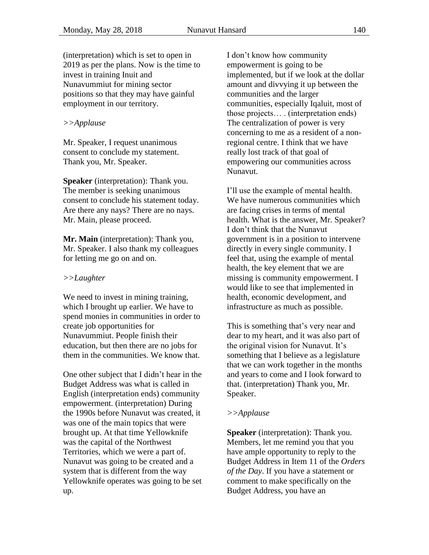(interpretation) which is set to open in 2019 as per the plans. Now is the time to invest in training Inuit and Nunavummiut for mining sector positions so that they may have gainful employment in our territory.

#### *>>Applause*

Mr. Speaker, I request unanimous consent to conclude my statement. Thank you, Mr. Speaker.

**Speaker** (interpretation): Thank you. The member is seeking unanimous consent to conclude his statement today. Are there any nays? There are no nays. Mr. Main, please proceed.

**Mr. Main** (interpretation): Thank you, Mr. Speaker. I also thank my colleagues for letting me go on and on.

#### *>>Laughter*

We need to invest in mining training, which I brought up earlier. We have to spend monies in communities in order to create job opportunities for Nunavummiut. People finish their education, but then there are no jobs for them in the communities. We know that.

One other subject that I didn't hear in the Budget Address was what is called in English (interpretation ends) community empowerment. (interpretation) During the 1990s before Nunavut was created, it was one of the main topics that were brought up. At that time Yellowknife was the capital of the Northwest Territories, which we were a part of. Nunavut was going to be created and a system that is different from the way Yellowknife operates was going to be set up.

I don't know how community empowerment is going to be implemented, but if we look at the dollar amount and divvying it up between the communities and the larger communities, especially Iqaluit, most of those projects… . (interpretation ends) The centralization of power is very concerning to me as a resident of a nonregional centre. I think that we have really lost track of that goal of empowering our communities across Nunavut.

I'll use the example of mental health. We have numerous communities which are facing crises in terms of mental health. What is the answer, Mr. Speaker? I don't think that the Nunavut government is in a position to intervene directly in every single community. I feel that, using the example of mental health, the key element that we are missing is community empowerment. I would like to see that implemented in health, economic development, and infrastructure as much as possible.

This is something that's very near and dear to my heart, and it was also part of the original vision for Nunavut. It's something that I believe as a legislature that we can work together in the months and years to come and I look forward to that. (interpretation) Thank you, Mr. Speaker.

#### *>>Applause*

**Speaker** (interpretation): Thank you. Members, let me remind you that you have ample opportunity to reply to the Budget Address in Item 11 of the *Orders of the Day*. If you have a statement or comment to make specifically on the Budget Address, you have an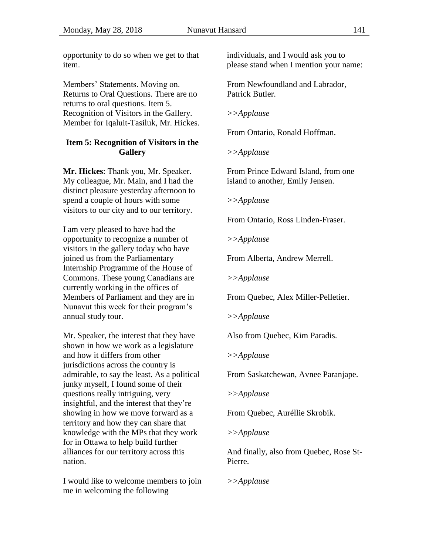opportunity to do so when we get to that item.

Members' Statements. Moving on. Returns to Oral Questions. There are no returns to oral questions. Item 5. Recognition of Visitors in the Gallery. Member for Iqaluit-Tasiluk, Mr. Hickes.

### <span id="page-20-0"></span>**Item 5: Recognition of Visitors in the Gallery**

**Mr. Hickes**: Thank you, Mr. Speaker. My colleague, Mr. Main, and I had the distinct pleasure yesterday afternoon to spend a couple of hours with some visitors to our city and to our territory.

I am very pleased to have had the opportunity to recognize a number of visitors in the gallery today who have joined us from the Parliamentary Internship Programme of the House of Commons. These young Canadians are currently working in the offices of Members of Parliament and they are in Nunavut this week for their program's annual study tour.

Mr. Speaker, the interest that they have shown in how we work as a legislature and how it differs from other jurisdictions across the country is admirable, to say the least. As a political junky myself, I found some of their questions really intriguing, very insightful, and the interest that they're showing in how we move forward as a territory and how they can share that knowledge with the MPs that they work for in Ottawa to help build further alliances for our territory across this nation.

I would like to welcome members to join me in welcoming the following

individuals, and I would ask you to please stand when I mention your name:

From Newfoundland and Labrador, Patrick Butler.

*>>Applause*

From Ontario, Ronald Hoffman.

*>>Applause*

From Prince Edward Island, from one island to another, Emily Jensen.

*>>Applause*

From Ontario, Ross Linden-Fraser.

*>>Applause*

From Alberta, Andrew Merrell.

*>>Applause*

From Quebec, Alex Miller-Pelletier.

*>>Applause*

Also from Quebec, Kim Paradis.

*>>Applause*

From Saskatchewan, Avnee Paranjape.

*>>Applause*

From Quebec, Auréllie Skrobik.

*>>Applause*

And finally, also from Quebec, Rose St-Pierre.

*>>Applause*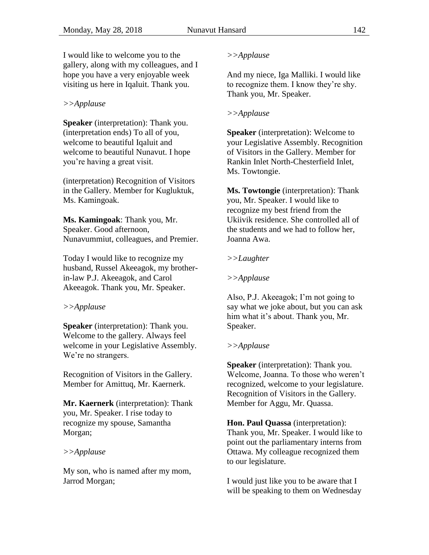I would like to welcome you to the gallery, along with my colleagues, and I hope you have a very enjoyable week visiting us here in Iqaluit. Thank you.

#### *>>Applause*

**Speaker** (interpretation): Thank you. (interpretation ends) To all of you, welcome to beautiful Iqaluit and welcome to beautiful Nunavut. I hope you're having a great visit.

(interpretation) Recognition of Visitors in the Gallery. Member for Kugluktuk, Ms. Kamingoak.

**Ms. Kamingoak**: Thank you, Mr. Speaker. Good afternoon, Nunavummiut, colleagues, and Premier.

Today I would like to recognize my husband, Russel Akeeagok, my brotherin-law P.J. Akeeagok, and Carol Akeeagok. Thank you, Mr. Speaker.

#### *>>Applause*

**Speaker** (interpretation): Thank you. Welcome to the gallery. Always feel welcome in your Legislative Assembly. We're no strangers.

Recognition of Visitors in the Gallery. Member for Amittuq, Mr. Kaernerk.

**Mr. Kaernerk** (interpretation): Thank you, Mr. Speaker. I rise today to recognize my spouse, Samantha Morgan;

#### *>>Applause*

My son, who is named after my mom, Jarrod Morgan;

#### *>>Applause*

And my niece, Iga Malliki. I would like to recognize them. I know they're shy. Thank you, Mr. Speaker.

#### *>>Applause*

**Speaker** (interpretation): Welcome to your Legislative Assembly. Recognition of Visitors in the Gallery. Member for Rankin Inlet North-Chesterfield Inlet, Ms. Towtongie.

**Ms. Towtongie** (interpretation): Thank you, Mr. Speaker. I would like to recognize my best friend from the Ukiivik residence. She controlled all of the students and we had to follow her, Joanna Awa.

### *>>Laughter*

#### *>>Applause*

Also, P.J. Akeeagok; I'm not going to say what we joke about, but you can ask him what it's about. Thank you, Mr. Speaker.

#### *>>Applause*

**Speaker** (interpretation): Thank you. Welcome, Joanna. To those who weren't recognized, welcome to your legislature. Recognition of Visitors in the Gallery. Member for Aggu, Mr. Quassa.

**Hon. Paul Quassa** (interpretation): Thank you, Mr. Speaker. I would like to point out the parliamentary interns from Ottawa. My colleague recognized them to our legislature.

I would just like you to be aware that I will be speaking to them on Wednesday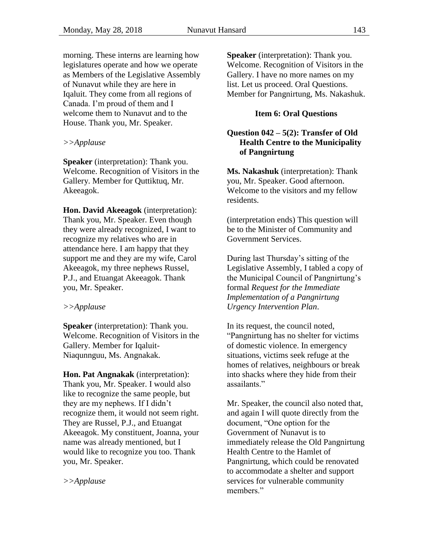morning. These interns are learning how legislatures operate and how we operate as Members of the Legislative Assembly of Nunavut while they are here in Iqaluit. They come from all regions of Canada. I'm proud of them and I welcome them to Nunavut and to the House. Thank you, Mr. Speaker.

#### *>>Applause*

**Speaker** (interpretation): Thank you. Welcome. Recognition of Visitors in the Gallery. Member for Quttiktuq, Mr. Akeeagok.

**Hon. David Akeeagok** (interpretation): Thank you, Mr. Speaker. Even though they were already recognized, I want to recognize my relatives who are in attendance here. I am happy that they support me and they are my wife, Carol Akeeagok, my three nephews Russel, P.J., and Etuangat Akeeagok. Thank you, Mr. Speaker.

#### *>>Applause*

**Speaker** (interpretation): Thank you. Welcome. Recognition of Visitors in the Gallery. Member for Iqaluit-Niaqunnguu, Ms. Angnakak.

**Hon. Pat Angnakak** (interpretation): Thank you, Mr. Speaker. I would also like to recognize the same people, but they are my nephews. If I didn't recognize them, it would not seem right. They are Russel, P.J., and Etuangat Akeeagok. My constituent, Joanna, your name was already mentioned, but I would like to recognize you too. Thank you, Mr. Speaker.

*>>Applause*

**Speaker** (interpretation): Thank you. Welcome. Recognition of Visitors in the Gallery. I have no more names on my list. Let us proceed. Oral Questions. Member for Pangnirtung, Ms. Nakashuk.

### **Item 6: Oral Questions**

### <span id="page-22-1"></span><span id="page-22-0"></span>**Question 042 – 5(2): Transfer of Old Health Centre to the Municipality of Pangnirtung**

**Ms. Nakashuk** (interpretation): Thank you, Mr. Speaker. Good afternoon. Welcome to the visitors and my fellow residents.

(interpretation ends) This question will be to the Minister of Community and Government Services.

During last Thursday's sitting of the Legislative Assembly, I tabled a copy of the Municipal Council of Pangnirtung's formal *Request for the Immediate Implementation of a Pangnirtung Urgency Intervention Plan*.

In its request, the council noted, "Pangnirtung has no shelter for victims of domestic violence. In emergency situations, victims seek refuge at the homes of relatives, neighbours or break into shacks where they hide from their assailants."

Mr. Speaker, the council also noted that, and again I will quote directly from the document, "One option for the Government of Nunavut is to immediately release the Old Pangnirtung Health Centre to the Hamlet of Pangnirtung, which could be renovated to accommodate a shelter and support services for vulnerable community members."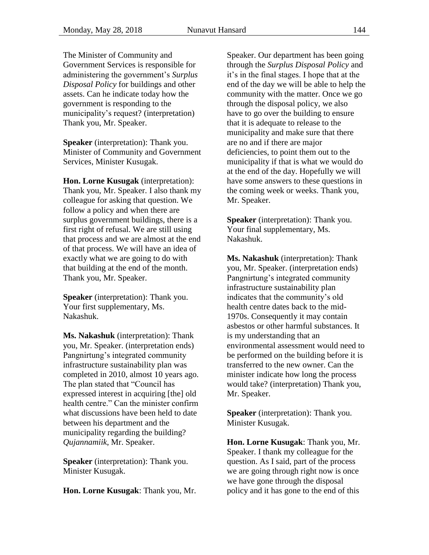The Minister of Community and Government Services is responsible for administering the government's *Surplus Disposal Policy* for buildings and other assets. Can he indicate today how the government is responding to the municipality's request? (interpretation) Thank you, Mr. Speaker.

**Speaker** (interpretation): Thank you. Minister of Community and Government Services, Minister Kusugak.

**Hon. Lorne Kusugak** (interpretation): Thank you, Mr. Speaker. I also thank my colleague for asking that question. We follow a policy and when there are surplus government buildings, there is a first right of refusal. We are still using that process and we are almost at the end of that process. We will have an idea of exactly what we are going to do with that building at the end of the month. Thank you, Mr. Speaker.

**Speaker** (interpretation): Thank you. Your first supplementary, Ms. Nakashuk.

**Ms. Nakashuk** (interpretation): Thank you, Mr. Speaker. (interpretation ends) Pangnirtung's integrated community infrastructure sustainability plan was completed in 2010, almost 10 years ago. The plan stated that "Council has expressed interest in acquiring [the] old health centre." Can the minister confirm what discussions have been held to date between his department and the municipality regarding the building? *Qujannamiik*, Mr. Speaker.

**Speaker** (interpretation): Thank you. Minister Kusugak.

**Hon. Lorne Kusugak**: Thank you, Mr.

Speaker. Our department has been going through the *Surplus Disposal Policy* and it's in the final stages. I hope that at the end of the day we will be able to help the community with the matter. Once we go through the disposal policy, we also have to go over the building to ensure that it is adequate to release to the municipality and make sure that there are no and if there are major deficiencies, to point them out to the municipality if that is what we would do at the end of the day. Hopefully we will have some answers to these questions in the coming week or weeks. Thank you, Mr. Speaker.

**Speaker** (interpretation): Thank you. Your final supplementary, Ms. Nakashuk.

**Ms. Nakashuk** (interpretation): Thank you, Mr. Speaker. (interpretation ends) Pangnirtung's integrated community infrastructure sustainability plan indicates that the community's old health centre dates back to the mid-1970s. Consequently it may contain asbestos or other harmful substances. It is my understanding that an environmental assessment would need to be performed on the building before it is transferred to the new owner. Can the minister indicate how long the process would take? (interpretation) Thank you, Mr. Speaker.

**Speaker** (interpretation): Thank you. Minister Kusugak.

**Hon. Lorne Kusugak**: Thank you, Mr. Speaker. I thank my colleague for the question. As I said, part of the process we are going through right now is once we have gone through the disposal policy and it has gone to the end of this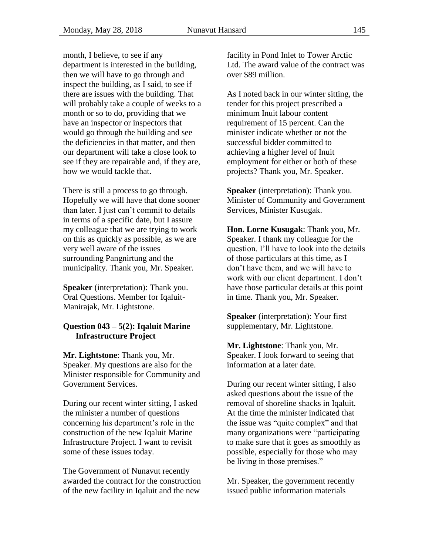month, I believe, to see if any department is interested in the building, then we will have to go through and inspect the building, as I said, to see if there are issues with the building. That will probably take a couple of weeks to a month or so to do, providing that we have an inspector or inspectors that would go through the building and see the deficiencies in that matter, and then our department will take a close look to see if they are repairable and, if they are, how we would tackle that.

There is still a process to go through. Hopefully we will have that done sooner than later. I just can't commit to details in terms of a specific date, but I assure my colleague that we are trying to work on this as quickly as possible, as we are very well aware of the issues surrounding Pangnirtung and the municipality. Thank you, Mr. Speaker.

**Speaker** (interpretation): Thank you. Oral Questions. Member for Iqaluit-Manirajak, Mr. Lightstone.

#### <span id="page-24-0"></span>**Question 043 – 5(2): Iqaluit Marine Infrastructure Project**

**Mr. Lightstone**: Thank you, Mr. Speaker. My questions are also for the Minister responsible for Community and Government Services.

During our recent winter sitting, I asked the minister a number of questions concerning his department's role in the construction of the new Iqaluit Marine Infrastructure Project. I want to revisit some of these issues today.

The Government of Nunavut recently awarded the contract for the construction of the new facility in Iqaluit and the new

facility in Pond Inlet to Tower Arctic Ltd. The award value of the contract was over \$89 million.

As I noted back in our winter sitting, the tender for this project prescribed a minimum Inuit labour content requirement of 15 percent. Can the minister indicate whether or not the successful bidder committed to achieving a higher level of Inuit employment for either or both of these projects? Thank you, Mr. Speaker.

**Speaker** (interpretation): Thank you. Minister of Community and Government Services, Minister Kusugak.

**Hon. Lorne Kusugak**: Thank you, Mr. Speaker. I thank my colleague for the question. I'll have to look into the details of those particulars at this time, as I don't have them, and we will have to work with our client department. I don't have those particular details at this point in time. Thank you, Mr. Speaker.

**Speaker** (interpretation): Your first supplementary, Mr. Lightstone.

**Mr. Lightstone**: Thank you, Mr. Speaker. I look forward to seeing that information at a later date.

During our recent winter sitting, I also asked questions about the issue of the removal of shoreline shacks in Iqaluit. At the time the minister indicated that the issue was "quite complex" and that many organizations were "participating to make sure that it goes as smoothly as possible, especially for those who may be living in those premises."

Mr. Speaker, the government recently issued public information materials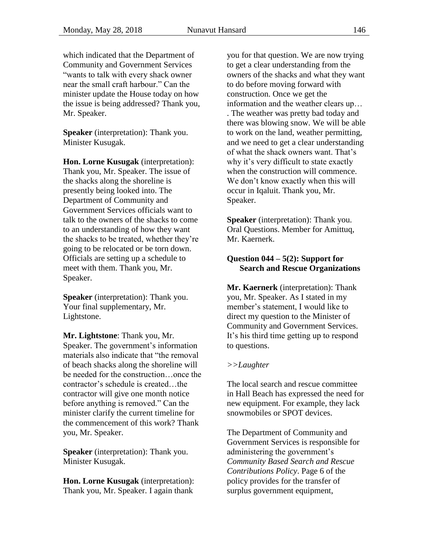which indicated that the Department of Community and Government Services "wants to talk with every shack owner near the small craft harbour." Can the minister update the House today on how the issue is being addressed? Thank you, Mr. Speaker.

**Speaker** (interpretation): Thank you. Minister Kusugak.

**Hon. Lorne Kusugak** (interpretation): Thank you, Mr. Speaker. The issue of the shacks along the shoreline is presently being looked into. The Department of Community and Government Services officials want to talk to the owners of the shacks to come to an understanding of how they want the shacks to be treated, whether they're going to be relocated or be torn down. Officials are setting up a schedule to meet with them. Thank you, Mr. Speaker.

**Speaker** (interpretation): Thank you. Your final supplementary, Mr. Lightstone.

**Mr. Lightstone**: Thank you, Mr. Speaker. The government's information materials also indicate that "the removal of beach shacks along the shoreline will be needed for the construction…once the contractor's schedule is created…the contractor will give one month notice before anything is removed." Can the minister clarify the current timeline for the commencement of this work? Thank you, Mr. Speaker.

**Speaker** (interpretation): Thank you. Minister Kusugak.

**Hon. Lorne Kusugak** (interpretation): Thank you, Mr. Speaker. I again thank

you for that question. We are now trying to get a clear understanding from the owners of the shacks and what they want to do before moving forward with construction. Once we get the information and the weather clears up… . The weather was pretty bad today and there was blowing snow. We will be able to work on the land, weather permitting, and we need to get a clear understanding of what the shack owners want. That's why it's very difficult to state exactly when the construction will commence. We don't know exactly when this will occur in Iqaluit. Thank you, Mr. Speaker.

**Speaker** (interpretation): Thank you. Oral Questions. Member for Amittuq, Mr. Kaernerk.

### <span id="page-25-0"></span>**Question 044 – 5(2): Support for Search and Rescue Organizations**

**Mr. Kaernerk** (interpretation): Thank you, Mr. Speaker. As I stated in my member's statement, I would like to direct my question to the Minister of Community and Government Services. It's his third time getting up to respond to questions.

### *>>Laughter*

The local search and rescue committee in Hall Beach has expressed the need for new equipment. For example, they lack snowmobiles or SPOT devices.

The Department of Community and Government Services is responsible for administering the government's *Community Based Search and Rescue Contributions Policy*. Page 6 of the policy provides for the transfer of surplus government equipment,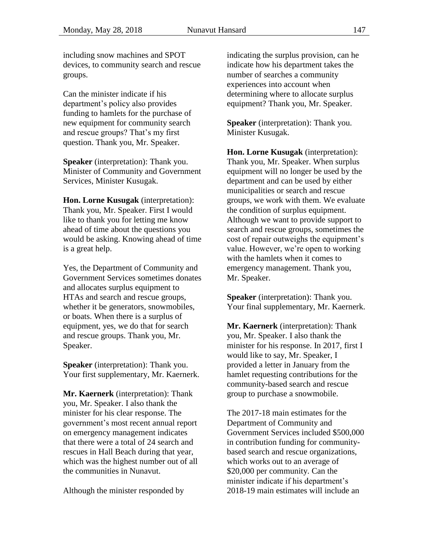including snow machines and SPOT devices, to community search and rescue groups.

Can the minister indicate if his department's policy also provides funding to hamlets for the purchase of new equipment for community search and rescue groups? That's my first question. Thank you, Mr. Speaker.

**Speaker** (interpretation): Thank you. Minister of Community and Government Services, Minister Kusugak.

**Hon. Lorne Kusugak** (interpretation): Thank you, Mr. Speaker. First I would like to thank you for letting me know ahead of time about the questions you would be asking. Knowing ahead of time is a great help.

Yes, the Department of Community and Government Services sometimes donates and allocates surplus equipment to HTAs and search and rescue groups, whether it be generators, snowmobiles, or boats. When there is a surplus of equipment, yes, we do that for search and rescue groups. Thank you, Mr. Speaker.

**Speaker** (interpretation): Thank you. Your first supplementary, Mr. Kaernerk.

**Mr. Kaernerk** (interpretation): Thank you, Mr. Speaker. I also thank the minister for his clear response. The government's most recent annual report on emergency management indicates that there were a total of 24 search and rescues in Hall Beach during that year, which was the highest number out of all the communities in Nunavut.

Although the minister responded by

indicating the surplus provision, can he indicate how his department takes the number of searches a community experiences into account when determining where to allocate surplus equipment? Thank you, Mr. Speaker.

**Speaker** (interpretation): Thank you. Minister Kusugak.

**Hon. Lorne Kusugak** (interpretation): Thank you, Mr. Speaker. When surplus equipment will no longer be used by the department and can be used by either municipalities or search and rescue groups, we work with them. We evaluate the condition of surplus equipment. Although we want to provide support to search and rescue groups, sometimes the cost of repair outweighs the equipment's value. However, we're open to working with the hamlets when it comes to emergency management. Thank you, Mr. Speaker.

**Speaker** (interpretation): Thank you. Your final supplementary, Mr. Kaernerk.

**Mr. Kaernerk** (interpretation): Thank you, Mr. Speaker. I also thank the minister for his response. In 2017, first I would like to say, Mr. Speaker, I provided a letter in January from the hamlet requesting contributions for the community-based search and rescue group to purchase a snowmobile.

The 2017-18 main estimates for the Department of Community and Government Services included \$500,000 in contribution funding for communitybased search and rescue organizations, which works out to an average of \$20,000 per community. Can the minister indicate if his department's 2018-19 main estimates will include an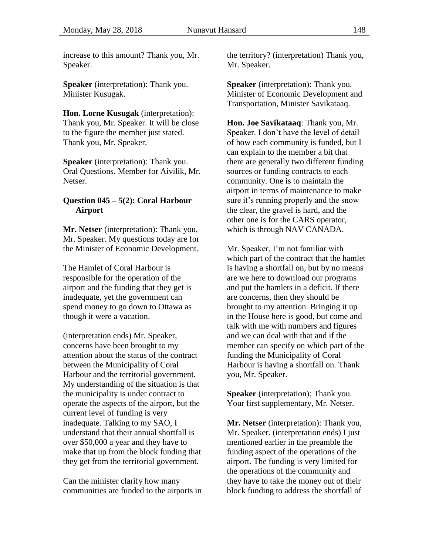increase to this amount? Thank you, Mr. Speaker.

**Speaker** (interpretation): Thank you. Minister Kusugak.

**Hon. Lorne Kusugak** (interpretation): Thank you, Mr. Speaker. It will be close to the figure the member just stated. Thank you, Mr. Speaker.

**Speaker** (interpretation): Thank you. Oral Questions. Member for Aivilik, Mr. Netser.

### <span id="page-27-0"></span>**Question 045 – 5(2): Coral Harbour**  Airport

**Mr. Netser** (interpretation): Thank you, Mr. Speaker. My questions today are for the Minister of Economic Development.

The Hamlet of Coral Harbour is responsible for the operation of the airport and the funding that they get is inadequate, yet the government can spend money to go down to Ottawa as though it were a vacation.

(interpretation ends) Mr. Speaker, concerns have been brought to my attention about the status of the contract between the Municipality of Coral Harbour and the territorial government. My understanding of the situation is that the municipality is under contract to operate the aspects of the airport, but the current level of funding is very inadequate. Talking to my SAO, I understand that their annual shortfall is over \$50,000 a year and they have to make that up from the block funding that they get from the territorial government.

Can the minister clarify how many communities are funded to the airports in the territory? (interpretation) Thank you, Mr. Speaker.

**Speaker** (interpretation): Thank you. Minister of Economic Development and Transportation, Minister Savikataaq.

**Hon. Joe Savikataaq**: Thank you, Mr. Speaker. I don't have the level of detail of how each community is funded, but I can explain to the member a bit that there are generally two different funding sources or funding contracts to each community. One is to maintain the airport in terms of maintenance to make sure it's running properly and the snow the clear, the gravel is hard, and the other one is for the CARS operator, which is through NAV CANADA.

Mr. Speaker, I'm not familiar with which part of the contract that the hamlet is having a shortfall on, but by no means are we here to download our programs and put the hamlets in a deficit. If there are concerns, then they should be brought to my attention. Bringing it up in the House here is good, but come and talk with me with numbers and figures and we can deal with that and if the member can specify on which part of the funding the Municipality of Coral Harbour is having a shortfall on. Thank you, Mr. Speaker.

**Speaker** (interpretation): Thank you. Your first supplementary, Mr. Netser.

**Mr. Netser** (interpretation): Thank you, Mr. Speaker. (interpretation ends) I just mentioned earlier in the preamble the funding aspect of the operations of the airport. The funding is very limited for the operations of the community and they have to take the money out of their block funding to address the shortfall of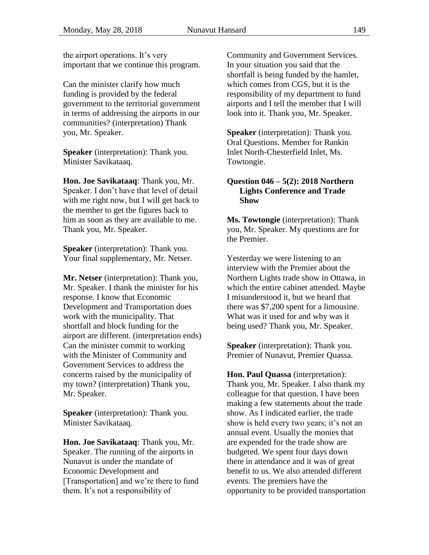the airport operations. It's very important that we continue this program.

Can the minister clarify how much funding is provided by the federal government to the territorial government in terms of addressing the airports in our communities? (interpretation) Thank you, Mr. Speaker.

**Speaker** (interpretation): Thank you. Minister Savikataaq.

**Hon. Joe Savikataaq**: Thank you, Mr. Speaker. I don't have that level of detail with me right now, but I will get back to the member to get the figures back to him as soon as they are available to me. Thank you, Mr. Speaker.

**Speaker** (interpretation): Thank you. Your final supplementary, Mr. Netser.

**Mr. Netser** (interpretation): Thank you, Mr. Speaker. I thank the minister for his response. I know that Economic Development and Transportation does work with the municipality. That shortfall and block funding for the airport are different. (interpretation ends) Can the minister commit to working with the Minister of Community and Government Services to address the concerns raised by the municipality of my town? (interpretation) Thank you, Mr. Speaker.

**Speaker** (interpretation): Thank you. Minister Savikataaq.

**Hon. Joe Savikataaq**: Thank you, Mr. Speaker. The running of the airports in Nunavut is under the mandate of Economic Development and [Transportation] and we're there to fund them. It's not a responsibility of

Community and Government Services. In your situation you said that the shortfall is being funded by the hamlet, which comes from CGS, but it is the responsibility of my department to fund airports and I tell the member that I will look into it. Thank you, Mr. Speaker.

**Speaker** (interpretation): Thank you. Oral Questions. Member for Rankin Inlet North-Chesterfield Inlet, Ms. Towtongie.

### <span id="page-28-0"></span>**Question 046 – 5(2): 2018 Northern Lights Conference and Trade**  Show

**Ms. Towtongie** (interpretation): Thank you, Mr. Speaker. My questions are for the Premier.

Yesterday we were listening to an interview with the Premier about the Northern Lights trade show in Ottawa, in which the entire cabinet attended. Maybe I misunderstood it, but we heard that there was \$7,200 spent for a limousine. What was it used for and why was it being used? Thank you, Mr. Speaker.

**Speaker** (interpretation): Thank you. Premier of Nunavut, Premier Quassa.

**Hon. Paul Quassa** (interpretation): Thank you, Mr. Speaker. I also thank my colleague for that question. I have been making a few statements about the trade show. As I indicated earlier, the trade show is held every two years; it's not an annual event. Usually the monies that are expended for the trade show are budgeted. We spent four days down there in attendance and it was of great benefit to us. We also attended different events. The premiers have the opportunity to be provided transportation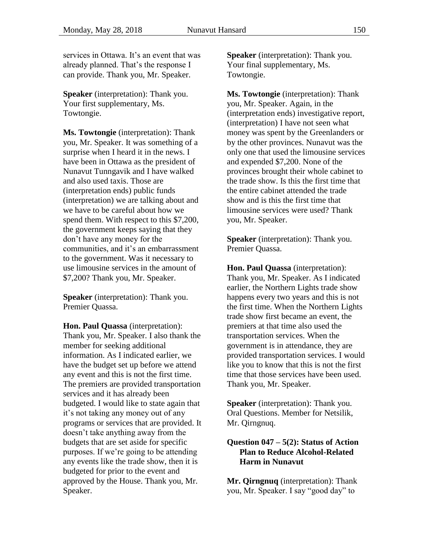services in Ottawa. It's an event that was already planned. That's the response I can provide. Thank you, Mr. Speaker.

**Speaker** (interpretation): Thank you. Your first supplementary, Ms. Towtongie.

**Ms. Towtongie** (interpretation): Thank you, Mr. Speaker. It was something of a surprise when I heard it in the news. I have been in Ottawa as the president of Nunavut Tunngavik and I have walked and also used taxis. Those are (interpretation ends) public funds (interpretation) we are talking about and we have to be careful about how we spend them. With respect to this \$7,200, the government keeps saying that they don't have any money for the communities, and it's an embarrassment to the government. Was it necessary to use limousine services in the amount of \$7,200? Thank you, Mr. Speaker.

**Speaker** (interpretation): Thank you. Premier Quassa.

**Hon. Paul Quassa** (interpretation): Thank you, Mr. Speaker. I also thank the member for seeking additional information. As I indicated earlier, we have the budget set up before we attend any event and this is not the first time. The premiers are provided transportation services and it has already been budgeted. I would like to state again that it's not taking any money out of any programs or services that are provided. It doesn't take anything away from the budgets that are set aside for specific purposes. If we're going to be attending any events like the trade show, then it is budgeted for prior to the event and approved by the House. Thank you, Mr. Speaker.

**Speaker** (interpretation): Thank you. Your final supplementary, Ms. Towtongie.

**Ms. Towtongie** (interpretation): Thank you, Mr. Speaker. Again, in the (interpretation ends) investigative report, (interpretation) I have not seen what money was spent by the Greenlanders or by the other provinces. Nunavut was the only one that used the limousine services and expended \$7,200. None of the provinces brought their whole cabinet to the trade show. Is this the first time that the entire cabinet attended the trade show and is this the first time that limousine services were used? Thank you, Mr. Speaker.

**Speaker** (interpretation): Thank you. Premier Quassa.

**Hon. Paul Quassa** (interpretation): Thank you, Mr. Speaker. As I indicated earlier, the Northern Lights trade show happens every two years and this is not the first time. When the Northern Lights trade show first became an event, the premiers at that time also used the transportation services. When the government is in attendance, they are provided transportation services. I would like you to know that this is not the first time that those services have been used. Thank you, Mr. Speaker.

**Speaker** (interpretation): Thank you. Oral Questions. Member for Netsilik, Mr. Qirngnuq.

### <span id="page-29-0"></span>**Question 047 – 5(2): Status of Action Plan to Reduce Alcohol-Related Harm in Nunavut**

**Mr. Qirngnuq** (interpretation): Thank you, Mr. Speaker. I say "good day" to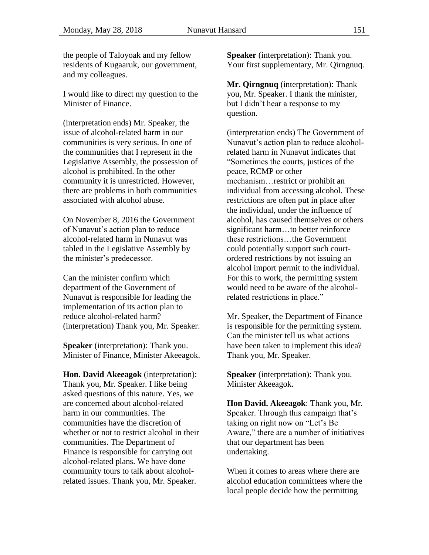the people of Taloyoak and my fellow residents of Kugaaruk, our government, and my colleagues.

I would like to direct my question to the Minister of Finance.

(interpretation ends) Mr. Speaker, the issue of alcohol-related harm in our communities is very serious. In one of the communities that I represent in the Legislative Assembly, the possession of alcohol is prohibited. In the other community it is unrestricted. However, there are problems in both communities associated with alcohol abuse.

On November 8, 2016 the Government of Nunavut's action plan to reduce alcohol-related harm in Nunavut was tabled in the Legislative Assembly by the minister's predecessor.

Can the minister confirm which department of the Government of Nunavut is responsible for leading the implementation of its action plan to reduce alcohol-related harm? (interpretation) Thank you, Mr. Speaker.

**Speaker** (interpretation): Thank you. Minister of Finance, Minister Akeeagok.

**Hon. David Akeeagok** (interpretation): Thank you, Mr. Speaker. I like being asked questions of this nature. Yes, we are concerned about alcohol-related harm in our communities. The communities have the discretion of whether or not to restrict alcohol in their communities. The Department of Finance is responsible for carrying out alcohol-related plans. We have done community tours to talk about alcoholrelated issues. Thank you, Mr. Speaker.

**Speaker** (interpretation): Thank you. Your first supplementary, Mr. Qirngnuq.

**Mr. Qirngnuq** (interpretation): Thank you, Mr. Speaker. I thank the minister, but I didn't hear a response to my question.

(interpretation ends) The Government of Nunavut's action plan to reduce alcoholrelated harm in Nunavut indicates that "Sometimes the courts, justices of the peace, RCMP or other mechanism…restrict or prohibit an individual from accessing alcohol. These restrictions are often put in place after the individual, under the influence of alcohol, has caused themselves or others significant harm…to better reinforce these restrictions…the Government could potentially support such courtordered restrictions by not issuing an alcohol import permit to the individual. For this to work, the permitting system would need to be aware of the alcoholrelated restrictions in place."

Mr. Speaker, the Department of Finance is responsible for the permitting system. Can the minister tell us what actions have been taken to implement this idea? Thank you, Mr. Speaker.

**Speaker** (interpretation): Thank you. Minister Akeeagok.

**Hon David. Akeeagok**: Thank you, Mr. Speaker. Through this campaign that's taking on right now on "Let's Be Aware," there are a number of initiatives that our department has been undertaking.

When it comes to areas where there are alcohol education committees where the local people decide how the permitting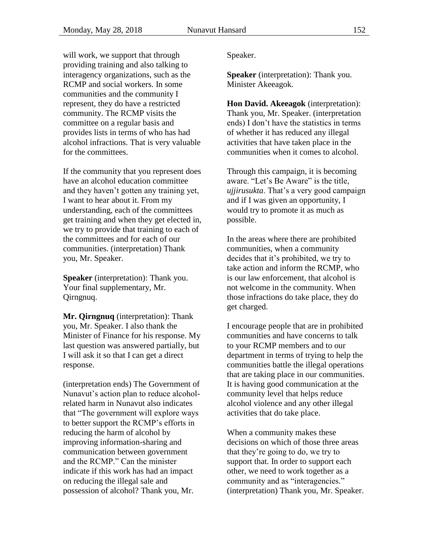will work, we support that through providing training and also talking to interagency organizations, such as the RCMP and social workers. In some communities and the community I represent, they do have a restricted community. The RCMP visits the committee on a regular basis and provides lists in terms of who has had alcohol infractions. That is very valuable for the committees.

If the community that you represent does have an alcohol education committee and they haven't gotten any training yet, I want to hear about it. From my understanding, each of the committees get training and when they get elected in, we try to provide that training to each of the committees and for each of our communities. (interpretation) Thank you, Mr. Speaker.

**Speaker** (interpretation): Thank you. Your final supplementary, Mr. Qirngnuq.

**Mr. Qirngnuq** (interpretation): Thank you, Mr. Speaker. I also thank the Minister of Finance for his response. My last question was answered partially, but I will ask it so that I can get a direct response.

(interpretation ends) The Government of Nunavut's action plan to reduce alcoholrelated harm in Nunavut also indicates that "The government will explore ways to better support the RCMP's efforts in reducing the harm of alcohol by improving information-sharing and communication between government and the RCMP." Can the minister indicate if this work has had an impact on reducing the illegal sale and possession of alcohol? Thank you, Mr.

Speaker.

**Speaker** (interpretation): Thank you. Minister Akeeagok.

**Hon David. Akeeagok** (interpretation): Thank you, Mr. Speaker. (interpretation ends) I don't have the statistics in terms of whether it has reduced any illegal activities that have taken place in the communities when it comes to alcohol.

Through this campaign, it is becoming aware. "Let's Be Aware" is the title, *ujjirusukta*. That's a very good campaign and if I was given an opportunity, I would try to promote it as much as possible.

In the areas where there are prohibited communities, when a community decides that it's prohibited, we try to take action and inform the RCMP, who is our law enforcement, that alcohol is not welcome in the community. When those infractions do take place, they do get charged.

I encourage people that are in prohibited communities and have concerns to talk to your RCMP members and to our department in terms of trying to help the communities battle the illegal operations that are taking place in our communities. It is having good communication at the community level that helps reduce alcohol violence and any other illegal activities that do take place.

When a community makes these decisions on which of those three areas that they're going to do, we try to support that. In order to support each other, we need to work together as a community and as "interagencies." (interpretation) Thank you, Mr. Speaker.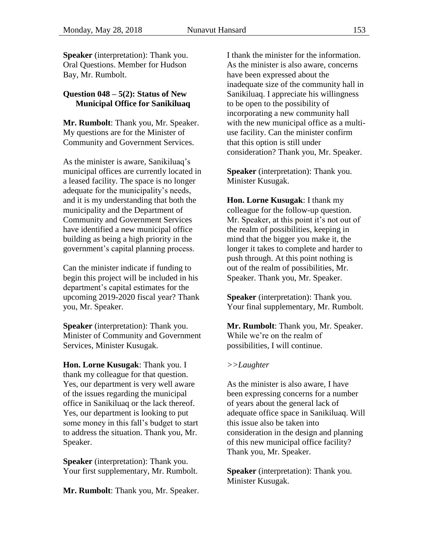**Speaker** (interpretation): Thank you. Oral Questions. Member for Hudson Bay, Mr. Rumbolt.

### <span id="page-32-0"></span>**Question 048 – 5(2): Status of New Municipal Office for Sanikiluaq**

**Mr. Rumbolt**: Thank you, Mr. Speaker. My questions are for the Minister of Community and Government Services.

As the minister is aware, Sanikiluaq's municipal offices are currently located in a leased facility. The space is no longer adequate for the municipality's needs, and it is my understanding that both the municipality and the Department of Community and Government Services have identified a new municipal office building as being a high priority in the government's capital planning process.

Can the minister indicate if funding to begin this project will be included in his department's capital estimates for the upcoming 2019-2020 fiscal year? Thank you, Mr. Speaker.

**Speaker** (interpretation): Thank you. Minister of Community and Government Services, Minister Kusugak.

**Hon. Lorne Kusugak**: Thank you. I thank my colleague for that question. Yes, our department is very well aware of the issues regarding the municipal office in Sanikiluaq or the lack thereof. Yes, our department is looking to put some money in this fall's budget to start to address the situation. Thank you, Mr. Speaker.

**Speaker** (interpretation): Thank you. Your first supplementary, Mr. Rumbolt.

**Mr. Rumbolt**: Thank you, Mr. Speaker.

I thank the minister for the information. As the minister is also aware, concerns have been expressed about the inadequate size of the community hall in Sanikiluaq. I appreciate his willingness to be open to the possibility of incorporating a new community hall with the new municipal office as a multiuse facility. Can the minister confirm that this option is still under consideration? Thank you, Mr. Speaker.

**Speaker** (interpretation): Thank you. Minister Kusugak.

**Hon. Lorne Kusugak**: I thank my colleague for the follow-up question. Mr. Speaker, at this point it's not out of the realm of possibilities, keeping in mind that the bigger you make it, the longer it takes to complete and harder to push through. At this point nothing is out of the realm of possibilities, Mr. Speaker. Thank you, Mr. Speaker.

**Speaker** (interpretation): Thank you. Your final supplementary, Mr. Rumbolt.

**Mr. Rumbolt**: Thank you, Mr. Speaker. While we're on the realm of possibilities, I will continue.

#### *>>Laughter*

As the minister is also aware, I have been expressing concerns for a number of years about the general lack of adequate office space in Sanikiluaq. Will this issue also be taken into consideration in the design and planning of this new municipal office facility? Thank you, Mr. Speaker.

**Speaker** (interpretation): Thank you. Minister Kusugak.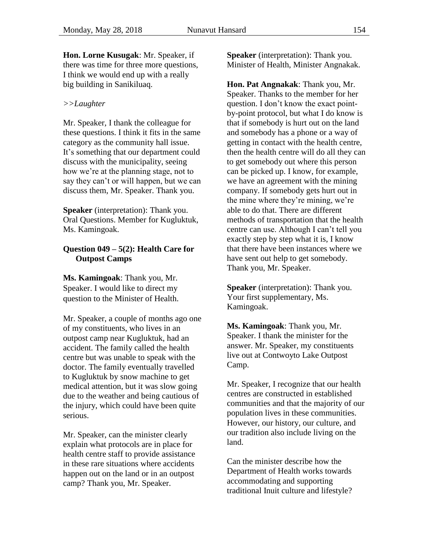**Hon. Lorne Kusugak**: Mr. Speaker, if there was time for three more questions, I think we would end up with a really big building in Sanikiluaq.

#### *>>Laughter*

Mr. Speaker, I thank the colleague for these questions. I think it fits in the same category as the community hall issue. It's something that our department could discuss with the municipality, seeing how we're at the planning stage, not to say they can't or will happen, but we can discuss them, Mr. Speaker. Thank you.

**Speaker** (interpretation): Thank you. Oral Questions. Member for Kugluktuk, Ms. Kamingoak.

### <span id="page-33-0"></span>**Question 049 – 5(2): Health Care for Outpost Camps**

**Ms. Kamingoak**: Thank you, Mr. Speaker. I would like to direct my question to the Minister of Health.

Mr. Speaker, a couple of months ago one of my constituents, who lives in an outpost camp near Kugluktuk, had an accident. The family called the health centre but was unable to speak with the doctor. The family eventually travelled to Kugluktuk by snow machine to get medical attention, but it was slow going due to the weather and being cautious of the injury, which could have been quite serious.

Mr. Speaker, can the minister clearly explain what protocols are in place for health centre staff to provide assistance in these rare situations where accidents happen out on the land or in an outpost camp? Thank you, Mr. Speaker.

**Speaker** (interpretation): Thank you. Minister of Health, Minister Angnakak.

**Hon. Pat Angnakak**: Thank you, Mr. Speaker. Thanks to the member for her question. I don't know the exact pointby-point protocol, but what I do know is that if somebody is hurt out on the land and somebody has a phone or a way of getting in contact with the health centre, then the health centre will do all they can to get somebody out where this person can be picked up. I know, for example, we have an agreement with the mining company. If somebody gets hurt out in the mine where they're mining, we're able to do that. There are different methods of transportation that the health centre can use. Although I can't tell you exactly step by step what it is, I know that there have been instances where we have sent out help to get somebody. Thank you, Mr. Speaker.

**Speaker** (interpretation): Thank you. Your first supplementary, Ms. Kamingoak.

**Ms. Kamingoak**: Thank you, Mr. Speaker. I thank the minister for the answer. Mr. Speaker, my constituents live out at Contwoyto Lake Outpost Camp.

Mr. Speaker, I recognize that our health centres are constructed in established communities and that the majority of our population lives in these communities. However, our history, our culture, and our tradition also include living on the land.

Can the minister describe how the Department of Health works towards accommodating and supporting traditional Inuit culture and lifestyle?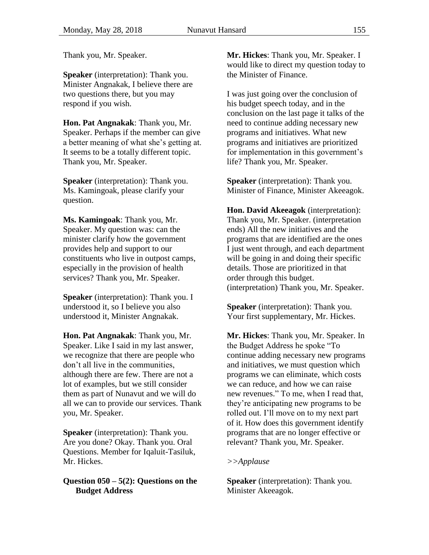Thank you, Mr. Speaker.

**Speaker** (interpretation): Thank you. Minister Angnakak, I believe there are two questions there, but you may respond if you wish.

**Hon. Pat Angnakak**: Thank you, Mr. Speaker. Perhaps if the member can give a better meaning of what she's getting at. It seems to be a totally different topic. Thank you, Mr. Speaker.

**Speaker** (interpretation): Thank you. Ms. Kamingoak, please clarify your question.

**Ms. Kamingoak**: Thank you, Mr. Speaker. My question was: can the minister clarify how the government provides help and support to our constituents who live in outpost camps, especially in the provision of health services? Thank you, Mr. Speaker.

**Speaker** (interpretation): Thank you. I understood it, so I believe you also understood it, Minister Angnakak.

**Hon. Pat Angnakak**: Thank you, Mr. Speaker. Like I said in my last answer, we recognize that there are people who don't all live in the communities, although there are few. There are not a lot of examples, but we still consider them as part of Nunavut and we will do all we can to provide our services. Thank you, Mr. Speaker.

**Speaker** (interpretation): Thank you. Are you done? Okay. Thank you. Oral Questions. Member for Iqaluit-Tasiluk, Mr. Hickes.

### <span id="page-34-0"></span>**Question 050 – 5(2): Questions on the Budget Address**

**Mr. Hickes**: Thank you, Mr. Speaker. I would like to direct my question today to the Minister of Finance.

I was just going over the conclusion of his budget speech today, and in the conclusion on the last page it talks of the need to continue adding necessary new programs and initiatives. What new programs and initiatives are prioritized for implementation in this government's life? Thank you, Mr. Speaker.

**Speaker** (interpretation): Thank you. Minister of Finance, Minister Akeeagok.

**Hon. David Akeeagok** (interpretation): Thank you, Mr. Speaker. (interpretation ends) All the new initiatives and the programs that are identified are the ones I just went through, and each department will be going in and doing their specific details. Those are prioritized in that order through this budget. (interpretation) Thank you, Mr. Speaker.

**Speaker** (interpretation): Thank you. Your first supplementary, Mr. Hickes.

**Mr. Hickes**: Thank you, Mr. Speaker. In the Budget Address he spoke "To continue adding necessary new programs and initiatives, we must question which programs we can eliminate, which costs we can reduce, and how we can raise new revenues." To me, when I read that, they're anticipating new programs to be rolled out. I'll move on to my next part of it. How does this government identify programs that are no longer effective or relevant? Thank you, Mr. Speaker.

### *>>Applause*

**Speaker** (interpretation): Thank you. Minister Akeeagok.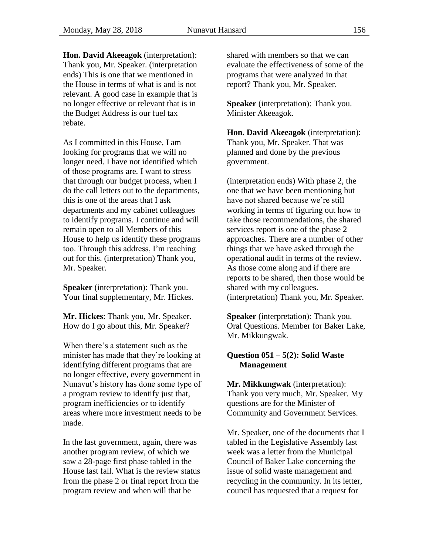**Hon. David Akeeagok** (interpretation): Thank you, Mr. Speaker. (interpretation ends) This is one that we mentioned in the House in terms of what is and is not relevant. A good case in example that is no longer effective or relevant that is in the Budget Address is our fuel tax rebate.

As I committed in this House, I am looking for programs that we will no longer need. I have not identified which of those programs are. I want to stress that through our budget process, when I do the call letters out to the departments, this is one of the areas that I ask departments and my cabinet colleagues to identify programs. I continue and will remain open to all Members of this House to help us identify these programs too. Through this address, I'm reaching out for this. (interpretation) Thank you, Mr. Speaker.

**Speaker** (interpretation): Thank you. Your final supplementary, Mr. Hickes.

**Mr. Hickes**: Thank you, Mr. Speaker. How do I go about this, Mr. Speaker?

When there's a statement such as the minister has made that they're looking at identifying different programs that are no longer effective, every government in Nunavut's history has done some type of a program review to identify just that, program inefficiencies or to identify areas where more investment needs to be made.

In the last government, again, there was another program review, of which we saw a 28-page first phase tabled in the House last fall. What is the review status from the phase 2 or final report from the program review and when will that be

shared with members so that we can evaluate the effectiveness of some of the programs that were analyzed in that report? Thank you, Mr. Speaker.

**Speaker** (interpretation): Thank you. Minister Akeeagok.

**Hon. David Akeeagok** (interpretation): Thank you, Mr. Speaker. That was planned and done by the previous government.

(interpretation ends) With phase 2, the one that we have been mentioning but have not shared because we're still working in terms of figuring out how to take those recommendations, the shared services report is one of the phase 2 approaches. There are a number of other things that we have asked through the operational audit in terms of the review. As those come along and if there are reports to be shared, then those would be shared with my colleagues. (interpretation) Thank you, Mr. Speaker.

**Speaker** (interpretation): Thank you. Oral Questions. Member for Baker Lake, Mr. Mikkungwak.

### <span id="page-35-0"></span>**Question 051 – 5(2): Solid Waste Management**

**Mr. Mikkungwak** (interpretation): Thank you very much, Mr. Speaker. My questions are for the Minister of Community and Government Services.

Mr. Speaker, one of the documents that I tabled in the Legislative Assembly last week was a letter from the Municipal Council of Baker Lake concerning the issue of solid waste management and recycling in the community. In its letter, council has requested that a request for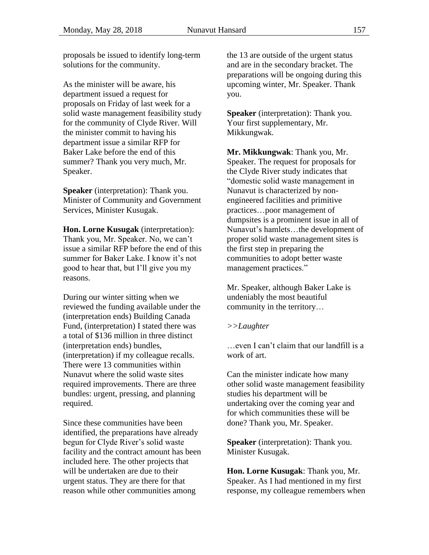proposals be issued to identify long-term solutions for the community.

As the minister will be aware, his department issued a request for proposals on Friday of last week for a solid waste management feasibility study for the community of Clyde River. Will the minister commit to having his department issue a similar RFP for Baker Lake before the end of this summer? Thank you very much, Mr. Speaker.

**Speaker** (interpretation): Thank you. Minister of Community and Government Services, Minister Kusugak.

**Hon. Lorne Kusugak** (interpretation): Thank you, Mr. Speaker. No, we can't issue a similar RFP before the end of this summer for Baker Lake. I know it's not good to hear that, but I'll give you my reasons.

During our winter sitting when we reviewed the funding available under the (interpretation ends) Building Canada Fund, (interpretation) I stated there was a total of \$136 million in three distinct (interpretation ends) bundles, (interpretation) if my colleague recalls. There were 13 communities within Nunavut where the solid waste sites required improvements. There are three bundles: urgent, pressing, and planning required.

Since these communities have been identified, the preparations have already begun for Clyde River's solid waste facility and the contract amount has been included here. The other projects that will be undertaken are due to their urgent status. They are there for that reason while other communities among

the 13 are outside of the urgent status and are in the secondary bracket. The preparations will be ongoing during this upcoming winter, Mr. Speaker. Thank you.

**Speaker** (interpretation): Thank you. Your first supplementary, Mr. Mikkungwak.

**Mr. Mikkungwak**: Thank you, Mr. Speaker. The request for proposals for the Clyde River study indicates that "domestic solid waste management in Nunavut is characterized by nonengineered facilities and primitive practices…poor management of dumpsites is a prominent issue in all of Nunavut's hamlets…the development of proper solid waste management sites is the first step in preparing the communities to adopt better waste management practices."

Mr. Speaker, although Baker Lake is undeniably the most beautiful community in the territory…

#### *>>Laughter*

…even I can't claim that our landfill is a work of art.

Can the minister indicate how many other solid waste management feasibility studies his department will be undertaking over the coming year and for which communities these will be done? Thank you, Mr. Speaker.

**Speaker** (interpretation): Thank you. Minister Kusugak.

**Hon. Lorne Kusugak**: Thank you, Mr. Speaker. As I had mentioned in my first response, my colleague remembers when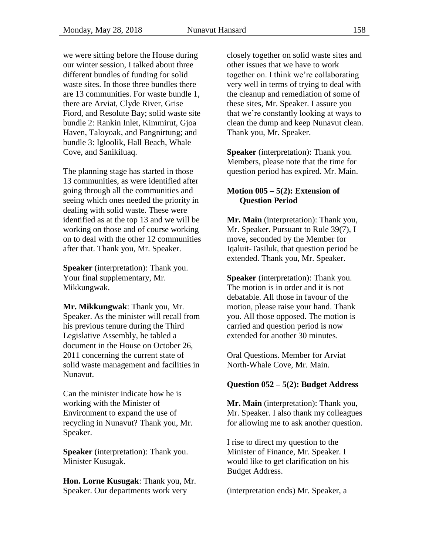we were sitting before the House during our winter session, I talked about three different bundles of funding for solid waste sites. In those three bundles there are 13 communities. For waste bundle 1, there are Arviat, Clyde River, Grise Fiord, and Resolute Bay; solid waste site bundle 2: Rankin Inlet, Kimmirut, Gjoa Haven, Taloyoak, and Pangnirtung; and bundle 3: Igloolik, Hall Beach, Whale Cove, and Sanikiluaq.

The planning stage has started in those 13 communities, as were identified after going through all the communities and seeing which ones needed the priority in dealing with solid waste. These were identified as at the top 13 and we will be working on those and of course working on to deal with the other 12 communities after that. Thank you, Mr. Speaker.

**Speaker** (interpretation): Thank you. Your final supplementary, Mr. Mikkungwak.

**Mr. Mikkungwak**: Thank you, Mr. Speaker. As the minister will recall from his previous tenure during the Third Legislative Assembly, he tabled a document in the House on October 26, 2011 concerning the current state of solid waste management and facilities in Nunavut.

Can the minister indicate how he is working with the Minister of Environment to expand the use of recycling in Nunavut? Thank you, Mr. Speaker.

**Speaker** (interpretation): Thank you. Minister Kusugak.

**Hon. Lorne Kusugak**: Thank you, Mr. Speaker. Our departments work very

closely together on solid waste sites and other issues that we have to work together on. I think we're collaborating very well in terms of trying to deal with the cleanup and remediation of some of these sites, Mr. Speaker. I assure you that we're constantly looking at ways to clean the dump and keep Nunavut clean. Thank you, Mr. Speaker.

**Speaker** (interpretation): Thank you. Members, please note that the time for question period has expired. Mr. Main.

### <span id="page-37-1"></span>**Motion 005 – 5(2): Extension of Question Period**

**Mr. Main** (interpretation): Thank you, Mr. Speaker. Pursuant to Rule 39(7), I move, seconded by the Member for Iqaluit-Tasiluk, that question period be extended. Thank you, Mr. Speaker.

**Speaker** (interpretation): Thank you. The motion is in order and it is not debatable. All those in favour of the motion, please raise your hand. Thank you. All those opposed. The motion is carried and question period is now extended for another 30 minutes.

Oral Questions. Member for Arviat North-Whale Cove, Mr. Main.

### <span id="page-37-0"></span>**Question 052 – 5(2): Budget Address**

**Mr. Main** (interpretation): Thank you, Mr. Speaker. I also thank my colleagues for allowing me to ask another question.

I rise to direct my question to the Minister of Finance, Mr. Speaker. I would like to get clarification on his Budget Address.

(interpretation ends) Mr. Speaker, a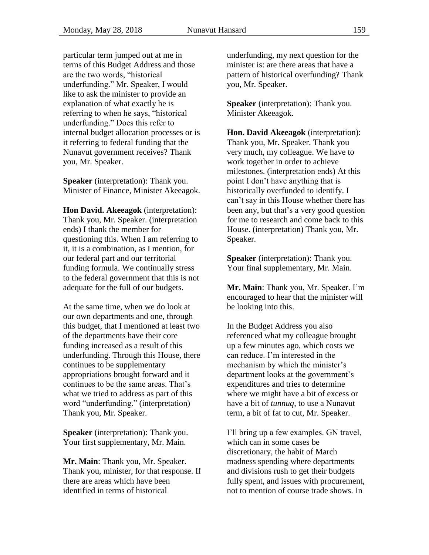particular term jumped out at me in terms of this Budget Address and those are the two words, "historical underfunding." Mr. Speaker, I would like to ask the minister to provide an explanation of what exactly he is referring to when he says, "historical underfunding." Does this refer to internal budget allocation processes or is it referring to federal funding that the Nunavut government receives? Thank you, Mr. Speaker.

**Speaker** (interpretation): Thank you. Minister of Finance, Minister Akeeagok.

**Hon David. Akeeagok** (interpretation): Thank you, Mr. Speaker. (interpretation ends) I thank the member for questioning this. When I am referring to it, it is a combination, as I mention, for our federal part and our territorial funding formula. We continually stress to the federal government that this is not adequate for the full of our budgets.

At the same time, when we do look at our own departments and one, through this budget, that I mentioned at least two of the departments have their core funding increased as a result of this underfunding. Through this House, there continues to be supplementary appropriations brought forward and it continues to be the same areas. That's what we tried to address as part of this word "underfunding." (interpretation) Thank you, Mr. Speaker.

**Speaker** (interpretation): Thank you. Your first supplementary, Mr. Main.

**Mr. Main**: Thank you, Mr. Speaker. Thank you, minister, for that response. If there are areas which have been identified in terms of historical

underfunding, my next question for the minister is: are there areas that have a pattern of historical overfunding? Thank you, Mr. Speaker.

**Speaker** (interpretation): Thank you. Minister Akeeagok.

**Hon. David Akeeagok** (interpretation): Thank you, Mr. Speaker. Thank you very much, my colleague. We have to work together in order to achieve milestones. (interpretation ends) At this point I don't have anything that is historically overfunded to identify. I can't say in this House whether there has been any, but that's a very good question for me to research and come back to this House. (interpretation) Thank you, Mr. Speaker.

**Speaker** (interpretation): Thank you. Your final supplementary, Mr. Main.

**Mr. Main**: Thank you, Mr. Speaker. I'm encouraged to hear that the minister will be looking into this.

In the Budget Address you also referenced what my colleague brought up a few minutes ago, which costs we can reduce. I'm interested in the mechanism by which the minister's department looks at the government's expenditures and tries to determine where we might have a bit of excess or have a bit of *tunnuq*, to use a Nunavut term, a bit of fat to cut, Mr. Speaker.

I'll bring up a few examples. GN travel, which can in some cases be discretionary, the habit of March madness spending where departments and divisions rush to get their budgets fully spent, and issues with procurement, not to mention of course trade shows. In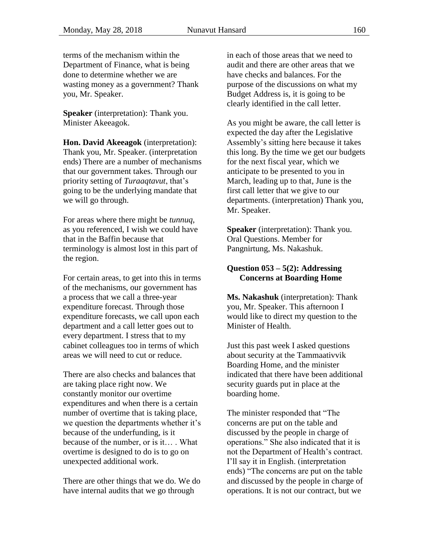terms of the mechanism within the Department of Finance, what is being done to determine whether we are wasting money as a government? Thank you, Mr. Speaker.

**Speaker** (interpretation): Thank you. Minister Akeeagok.

**Hon. David Akeeagok** (interpretation): Thank you, Mr. Speaker. (interpretation ends) There are a number of mechanisms that our government takes. Through our priority setting of *Turaaqtavut*, that's going to be the underlying mandate that we will go through.

For areas where there might be *tunnuq*, as you referenced, I wish we could have that in the Baffin because that terminology is almost lost in this part of the region.

For certain areas, to get into this in terms of the mechanisms, our government has a process that we call a three-year expenditure forecast. Through those expenditure forecasts, we call upon each department and a call letter goes out to every department. I stress that to my cabinet colleagues too in terms of which areas we will need to cut or reduce.

There are also checks and balances that are taking place right now. We constantly monitor our overtime expenditures and when there is a certain number of overtime that is taking place, we question the departments whether it's because of the underfunding, is it because of the number, or is it… . What overtime is designed to do is to go on unexpected additional work.

There are other things that we do. We do have internal audits that we go through

in each of those areas that we need to audit and there are other areas that we have checks and balances. For the purpose of the discussions on what my Budget Address is, it is going to be clearly identified in the call letter.

As you might be aware, the call letter is expected the day after the Legislative Assembly's sitting here because it takes this long. By the time we get our budgets for the next fiscal year, which we anticipate to be presented to you in March, leading up to that, June is the first call letter that we give to our departments. (interpretation) Thank you, Mr. Speaker.

**Speaker** (interpretation): Thank you. Oral Questions. Member for Pangnirtung, Ms. Nakashuk.

### <span id="page-39-0"></span>**Question 053 – 5(2): Addressing Concerns at Boarding Home**

**Ms. Nakashuk** (interpretation): Thank you, Mr. Speaker. This afternoon I would like to direct my question to the Minister of Health.

Just this past week I asked questions about security at the Tammaativvik Boarding Home, and the minister indicated that there have been additional security guards put in place at the boarding home.

The minister responded that "The concerns are put on the table and discussed by the people in charge of operations." She also indicated that it is not the Department of Health's contract. I'll say it in English. (interpretation ends) "The concerns are put on the table and discussed by the people in charge of operations. It is not our contract, but we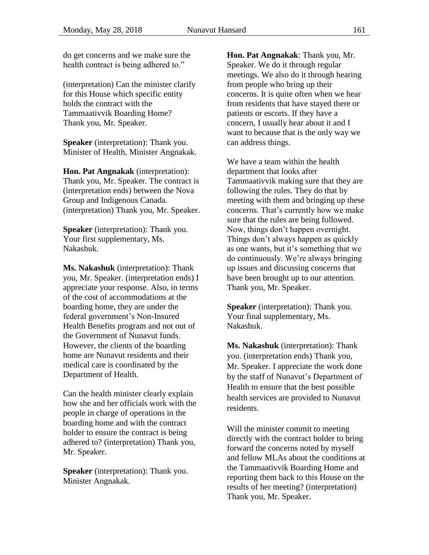do get concerns and we make sure the health contract is being adhered to."

(interpretation) Can the minister clarify for this House which specific entity holds the contract with the Tammaativvik Boarding Home? Thank you, Mr. Speaker.

**Speaker** (interpretation): Thank you. Minister of Health, Minister Angnakak.

**Hon. Pat Angnakak** (interpretation): Thank you, Mr. Speaker. The contract is (interpretation ends) between the Nova Group and Indigenous Canada. (interpretation) Thank you, Mr. Speaker.

**Speaker** (interpretation): Thank you. Your first supplementary, Ms. Nakashuk.

**Ms. Nakashuk** (interpretation): Thank you, Mr. Speaker. (interpretation ends) I appreciate your response. Also, in terms of the cost of accommodations at the boarding home, they are under the federal government's Non-Insured Health Benefits program and not out of the Government of Nunavut funds. However, the clients of the boarding home are Nunavut residents and their medical care is coordinated by the Department of Health.

Can the health minister clearly explain how she and her officials work with the people in charge of operations in the boarding home and with the contract holder to ensure the contract is being adhered to? (interpretation) Thank you, Mr. Speaker.

**Speaker** (interpretation): Thank you. Minister Angnakak.

**Hon. Pat Angnakak**: Thank you, Mr. Speaker. We do it through regular meetings. We also do it through hearing from people who bring up their concerns. It is quite often when we hear from residents that have stayed there or patients or escorts. If they have a concern, I usually hear about it and I want to because that is the only way we can address things.

We have a team within the health department that looks after Tammaativvik making sure that they are following the rules. They do that by meeting with them and bringing up these concerns. That's currently how we make sure that the rules are being followed. Now, things don't happen overnight. Things don't always happen as quickly as one wants, but it's something that we do continuously. We're always bringing up issues and discussing concerns that have been brought up to our attention. Thank you, Mr. Speaker.

**Speaker** (interpretation): Thank you. Your final supplementary, Ms. Nakashuk.

**Ms. Nakashuk** (interpretation): Thank you. (interpretation ends) Thank you, Mr. Speaker. I appreciate the work done by the staff of Nunavut's Department of Health to ensure that the best possible health services are provided to Nunavut residents.

Will the minister commit to meeting directly with the contract holder to bring forward the concerns noted by myself and fellow MLAs about the conditions at the Tammaativvik Boarding Home and reporting them back to this House on the results of her meeting? (interpretation) Thank you, Mr. Speaker.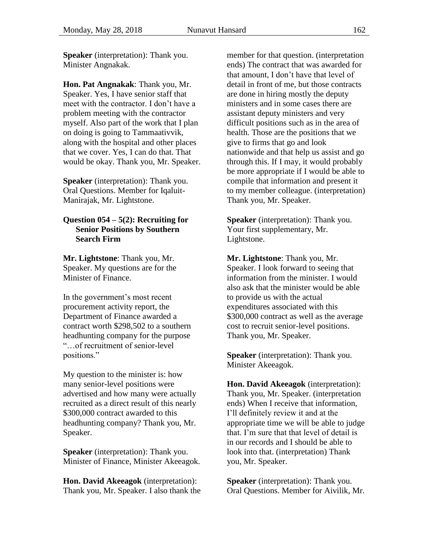**Speaker** (interpretation): Thank you. Minister Angnakak.

**Hon. Pat Angnakak**: Thank you, Mr. Speaker. Yes, I have senior staff that meet with the contractor. I don't have a problem meeting with the contractor myself. Also part of the work that I plan on doing is going to Tammaativvik, along with the hospital and other places that we cover. Yes, I can do that. That would be okay. Thank you, Mr. Speaker.

**Speaker** (interpretation): Thank you. Oral Questions. Member for Iqaluit-Manirajak, Mr. Lightstone.

### <span id="page-41-0"></span>**Question 054 – 5(2): Recruiting for Senior Positions by Southern Search Firm**

**Mr. Lightstone**: Thank you, Mr. Speaker. My questions are for the Minister of Finance.

In the government's most recent procurement activity report, the Department of Finance awarded a contract worth \$298,502 to a southern headhunting company for the purpose "…of recruitment of senior-level positions."

My question to the minister is: how many senior-level positions were advertised and how many were actually recruited as a direct result of this nearly \$300,000 contract awarded to this headhunting company? Thank you, Mr. Speaker.

**Speaker** (interpretation): Thank you. Minister of Finance, Minister Akeeagok.

**Hon. David Akeeagok** (interpretation): Thank you, Mr. Speaker. I also thank the member for that question. (interpretation ends) The contract that was awarded for that amount, I don't have that level of detail in front of me, but those contracts are done in hiring mostly the deputy ministers and in some cases there are assistant deputy ministers and very difficult positions such as in the area of health. Those are the positions that we give to firms that go and look nationwide and that help us assist and go through this. If I may, it would probably be more appropriate if I would be able to compile that information and present it to my member colleague. (interpretation) Thank you, Mr. Speaker.

**Speaker** (interpretation): Thank you. Your first supplementary, Mr. Lightstone.

**Mr. Lightstone**: Thank you, Mr. Speaker. I look forward to seeing that information from the minister. I would also ask that the minister would be able to provide us with the actual expenditures associated with this \$300,000 contract as well as the average cost to recruit senior-level positions. Thank you, Mr. Speaker.

**Speaker** (interpretation): Thank you. Minister Akeeagok.

**Hon. David Akeeagok** (interpretation): Thank you, Mr. Speaker. (interpretation ends) When I receive that information, I'll definitely review it and at the appropriate time we will be able to judge that. I'm sure that that level of detail is in our records and I should be able to look into that. (interpretation) Thank you, Mr. Speaker.

**Speaker** (interpretation): Thank you. Oral Questions. Member for Aivilik, Mr.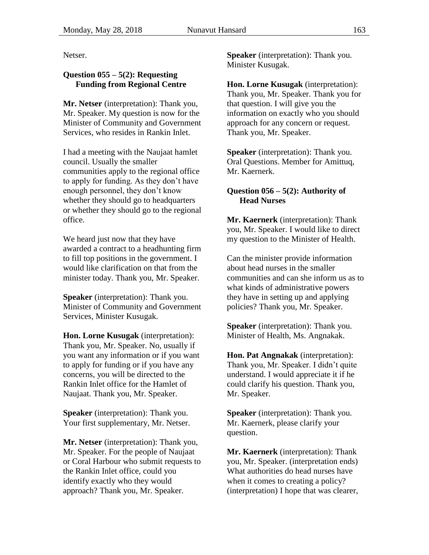Netser.

## <span id="page-42-0"></span>**Question 055 – 5(2): Requesting Funding from Regional Centre**

**Mr. Netser** (interpretation): Thank you, Mr. Speaker. My question is now for the Minister of Community and Government Services, who resides in Rankin Inlet.

I had a meeting with the Naujaat hamlet council. Usually the smaller communities apply to the regional office to apply for funding. As they don't have enough personnel, they don't know whether they should go to headquarters or whether they should go to the regional office.

We heard just now that they have awarded a contract to a headhunting firm to fill top positions in the government. I would like clarification on that from the minister today. Thank you, Mr. Speaker.

**Speaker** (interpretation): Thank you. Minister of Community and Government Services, Minister Kusugak.

**Hon. Lorne Kusugak** (interpretation): Thank you, Mr. Speaker. No, usually if you want any information or if you want to apply for funding or if you have any concerns, you will be directed to the Rankin Inlet office for the Hamlet of Naujaat. Thank you, Mr. Speaker.

**Speaker** (interpretation): Thank you. Your first supplementary, Mr. Netser.

**Mr. Netser** (interpretation): Thank you, Mr. Speaker. For the people of Naujaat or Coral Harbour who submit requests to the Rankin Inlet office, could you identify exactly who they would approach? Thank you, Mr. Speaker.

**Speaker** (interpretation): Thank you. Minister Kusugak.

**Hon. Lorne Kusugak** (interpretation): Thank you, Mr. Speaker. Thank you for that question. I will give you the information on exactly who you should approach for any concern or request. Thank you, Mr. Speaker.

**Speaker** (interpretation): Thank you. Oral Questions. Member for Amittuq, Mr. Kaernerk.

## <span id="page-42-1"></span>**Question 056 – 5(2): Authority of Head Nurses**

**Mr. Kaernerk** (interpretation): Thank you, Mr. Speaker. I would like to direct my question to the Minister of Health.

Can the minister provide information about head nurses in the smaller communities and can she inform us as to what kinds of administrative powers they have in setting up and applying policies? Thank you, Mr. Speaker.

**Speaker** (interpretation): Thank you. Minister of Health, Ms. Angnakak.

**Hon. Pat Angnakak** (interpretation): Thank you, Mr. Speaker. I didn't quite understand. I would appreciate it if he could clarify his question. Thank you, Mr. Speaker.

**Speaker** (interpretation): Thank you. Mr. Kaernerk, please clarify your question.

**Mr. Kaernerk** (interpretation): Thank you, Mr. Speaker. (interpretation ends) What authorities do head nurses have when it comes to creating a policy? (interpretation) I hope that was clearer,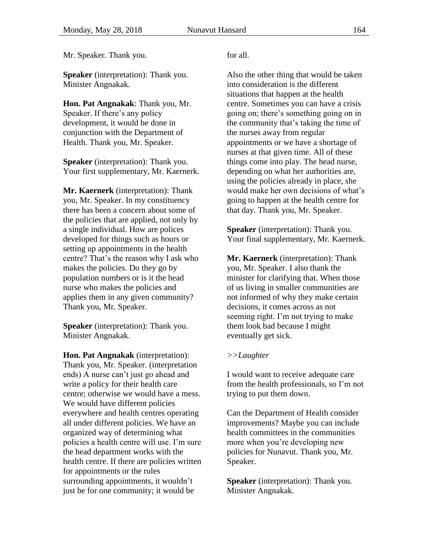Mr. Speaker. Thank you.

**Speaker** (interpretation): Thank you. Minister Angnakak.

**Hon. Pat Angnakak**: Thank you, Mr. Speaker. If there's any policy development, it would be done in conjunction with the Department of Health. Thank you, Mr. Speaker.

**Speaker** (interpretation): Thank you. Your first supplementary, Mr. Kaernerk.

**Mr. Kaernerk** (interpretation): Thank you, Mr. Speaker. In my constituency there has been a concern about some of the policies that are applied, not only by a single individual. How are polices developed for things such as hours or setting up appointments in the health centre? That's the reason why I ask who makes the policies. Do they go by population numbers or is it the head nurse who makes the policies and applies them in any given community? Thank you, Mr. Speaker.

**Speaker** (interpretation): Thank you. Minister Angnakak.

**Hon. Pat Angnakak** (interpretation): Thank you, Mr. Speaker. (interpretation ends) A nurse can't just go ahead and write a policy for their health care centre; otherwise we would have a mess. We would have different policies everywhere and health centres operating all under different policies. We have an organized way of determining what policies a health centre will use. I'm sure the head department works with the health centre. If there are policies written for appointments or the rules surrounding appointments, it wouldn't just be for one community; it would be

#### for all.

Also the other thing that would be taken into consideration is the different situations that happen at the health centre. Sometimes you can have a crisis going on; there's something going on in the community that's taking the time of the nurses away from regular appointments or we have a shortage of nurses at that given time. All of these things come into play. The head nurse, depending on what her authorities are, using the policies already in place, she would make her own decisions of what's going to happen at the health centre for that day. Thank you, Mr. Speaker.

**Speaker** (interpretation): Thank you. Your final supplementary, Mr. Kaernerk.

**Mr. Kaernerk** (interpretation): Thank you, Mr. Speaker. I also thank the minister for clarifying that. When those of us living in smaller communities are not informed of why they make certain decisions, it comes across as not seeming right. I'm not trying to make them look bad because I might eventually get sick.

### *>>Laughter*

I would want to receive adequate care from the health professionals, so I'm not trying to put them down.

Can the Department of Health consider improvements? Maybe you can include health committees in the communities more when you're developing new policies for Nunavut. Thank you, Mr. Speaker.

**Speaker** (interpretation): Thank you. Minister Angnakak.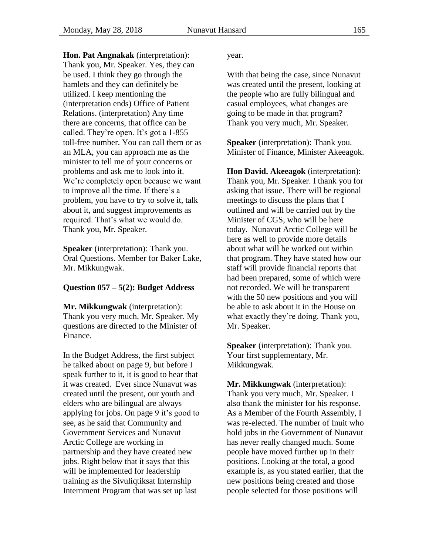**Hon. Pat Angnakak** (interpretation): Thank you, Mr. Speaker. Yes, they can be used. I think they go through the hamlets and they can definitely be utilized. I keep mentioning the (interpretation ends) Office of Patient Relations. (interpretation) Any time there are concerns, that office can be called. They're open. It's got a 1-855 toll-free number. You can call them or as an MLA, you can approach me as the minister to tell me of your concerns or problems and ask me to look into it. We're completely open because we want to improve all the time. If there's a problem, you have to try to solve it, talk about it, and suggest improvements as required. That's what we would do.

**Speaker** (interpretation): Thank you. Oral Questions. Member for Baker Lake, Mr. Mikkungwak.

Thank you, Mr. Speaker.

### <span id="page-44-0"></span>**Question 057 – 5(2): Budget Address**

**Mr. Mikkungwak** (interpretation): Thank you very much, Mr. Speaker. My questions are directed to the Minister of Finance.

In the Budget Address, the first subject he talked about on page 9, but before I speak further to it, it is good to hear that it was created. Ever since Nunavut was created until the present, our youth and elders who are bilingual are always applying for jobs. On page 9 it's good to see, as he said that Community and Government Services and Nunavut Arctic College are working in partnership and they have created new jobs. Right below that it says that this will be implemented for leadership training as the Sivuliqtiksat Internship Internment Program that was set up last

year.

With that being the case, since Nunavut was created until the present, looking at the people who are fully bilingual and casual employees, what changes are going to be made in that program? Thank you very much, Mr. Speaker.

**Speaker** (interpretation): Thank you. Minister of Finance, Minister Akeeagok.

**Hon David. Akeeagok** (interpretation): Thank you, Mr. Speaker. I thank you for asking that issue. There will be regional meetings to discuss the plans that I outlined and will be carried out by the Minister of CGS, who will be here today. Nunavut Arctic College will be here as well to provide more details about what will be worked out within that program. They have stated how our staff will provide financial reports that had been prepared, some of which were not recorded. We will be transparent with the 50 new positions and you will be able to ask about it in the House on what exactly they're doing. Thank you, Mr. Speaker.

**Speaker** (interpretation): Thank you. Your first supplementary, Mr. Mikkungwak.

**Mr. Mikkungwak** (interpretation): Thank you very much, Mr. Speaker. I also thank the minister for his response. As a Member of the Fourth Assembly, I was re-elected. The number of Inuit who hold jobs in the Government of Nunavut has never really changed much. Some people have moved further up in their positions. Looking at the total, a good example is, as you stated earlier, that the new positions being created and those people selected for those positions will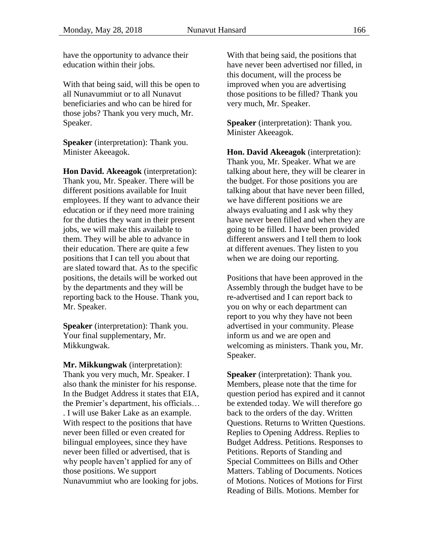have the opportunity to advance their education within their jobs.

With that being said, will this be open to all Nunavummiut or to all Nunavut beneficiaries and who can be hired for those jobs? Thank you very much, Mr. Speaker.

**Speaker** (interpretation): Thank you. Minister Akeeagok.

**Hon David. Akeeagok** (interpretation): Thank you, Mr. Speaker. There will be different positions available for Inuit employees. If they want to advance their education or if they need more training for the duties they want in their present jobs, we will make this available to them. They will be able to advance in their education. There are quite a few positions that I can tell you about that are slated toward that. As to the specific positions, the details will be worked out by the departments and they will be reporting back to the House. Thank you, Mr. Speaker.

**Speaker** (interpretation): Thank you. Your final supplementary, Mr. Mikkungwak.

**Mr. Mikkungwak** (interpretation): Thank you very much, Mr. Speaker. I also thank the minister for his response. In the Budget Address it states that EIA, the Premier's department, his officials… . I will use Baker Lake as an example. With respect to the positions that have never been filled or even created for bilingual employees, since they have never been filled or advertised, that is why people haven't applied for any of those positions. We support Nunavummiut who are looking for jobs.

With that being said, the positions that have never been advertised nor filled, in this document, will the process be improved when you are advertising those positions to be filled? Thank you very much, Mr. Speaker.

**Speaker** (interpretation): Thank you. Minister Akeeagok.

**Hon. David Akeeagok** (interpretation): Thank you, Mr. Speaker. What we are talking about here, they will be clearer in the budget. For those positions you are talking about that have never been filled, we have different positions we are always evaluating and I ask why they have never been filled and when they are going to be filled. I have been provided different answers and I tell them to look at different avenues. They listen to you when we are doing our reporting.

Positions that have been approved in the Assembly through the budget have to be re-advertised and I can report back to you on why or each department can report to you why they have not been advertised in your community. Please inform us and we are open and welcoming as ministers. Thank you, Mr. Speaker.

**Speaker** (interpretation): Thank you. Members, please note that the time for question period has expired and it cannot be extended today. We will therefore go back to the orders of the day. Written Questions. Returns to Written Questions. Replies to Opening Address. Replies to Budget Address. Petitions. Responses to Petitions. Reports of Standing and Special Committees on Bills and Other Matters. Tabling of Documents. Notices of Motions. Notices of Motions for First Reading of Bills. Motions. Member for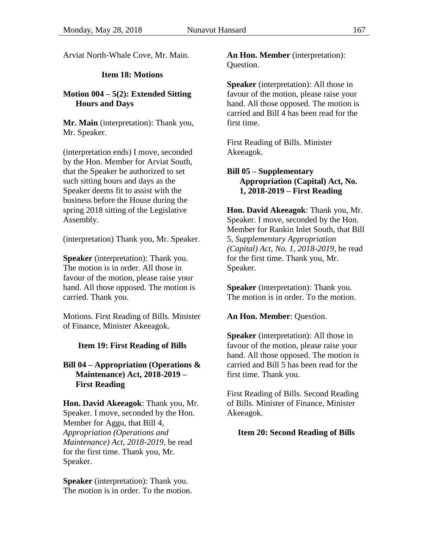<span id="page-46-0"></span>Arviat North-Whale Cove, Mr. Main.

# **Item 18: Motions**

## <span id="page-46-3"></span>**Motion 004 – 5(2): Extended Sitting Hours and Days**

**Mr. Main** (interpretation): Thank you, Mr. Speaker.

(interpretation ends) I move, seconded by the Hon. Member for Arviat South, that the Speaker be authorized to set such sitting hours and days as the Speaker deems fit to assist with the business before the House during the spring 2018 sitting of the Legislative Assembly.

(interpretation) Thank you, Mr. Speaker.

**Speaker** (interpretation): Thank you. The motion is in order. All those in favour of the motion, please raise your hand. All those opposed. The motion is carried. Thank you.

Motions. First Reading of Bills. Minister of Finance, Minister Akeeagok.

## <span id="page-46-1"></span>**Item 19: First Reading of Bills**

### <span id="page-46-4"></span>**Bill 04 – Appropriation (Operations & Maintenance) Act, 2018-2019 – First Reading**

**Hon. David Akeeagok**: Thank you, Mr. Speaker. I move, seconded by the Hon. Member for Aggu, that Bill 4, *Appropriation (Operations and Maintenance) Act, 2018-2019*, be read for the first time. Thank you, Mr. Speaker.

**Speaker** (interpretation): Thank you. The motion is in order. To the motion. **An Hon. Member** (interpretation): Question.

**Speaker** (interpretation): All those in favour of the motion, please raise your hand. All those opposed. The motion is carried and Bill 4 has been read for the first time.

First Reading of Bills. Minister Akeeagok.

### <span id="page-46-5"></span>**Bill 05 – Supplementary Appropriation (Capital) Act, No. 1, 2018-2019 – First Reading**

**Hon. David Akeeagok**: Thank you, Mr. Speaker. I move, seconded by the Hon. Member for Rankin Inlet South, that Bill 5, *Supplementary Appropriation (Capital) Act, No. 1, 2018-2019*, be read for the first time. Thank you, Mr. Speaker.

**Speaker** (interpretation): Thank you. The motion is in order. To the motion.

### **An Hon. Member**: Question.

**Speaker** (interpretation): All those in favour of the motion, please raise your hand. All those opposed. The motion is carried and Bill 5 has been read for the first time. Thank you.

First Reading of Bills. Second Reading of Bills. Minister of Finance, Minister Akeeagok.

### <span id="page-46-2"></span>**Item 20: Second Reading of Bills**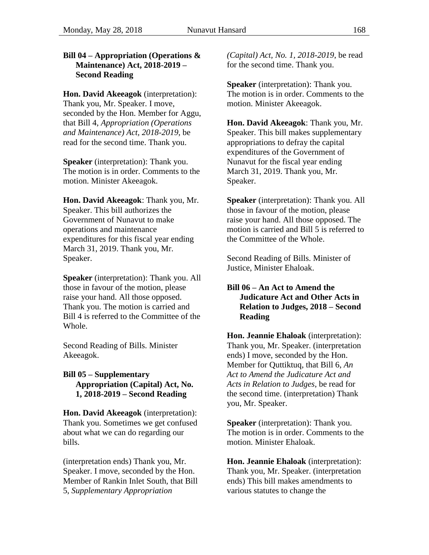### <span id="page-47-0"></span>**Bill 04 – Appropriation (Operations & Maintenance) Act, 2018-2019 – Second Reading**

**Hon. David Akeeagok** (interpretation): Thank you, Mr. Speaker. I move, seconded by the Hon. Member for Aggu, that Bill 4, *Appropriation (Operations and Maintenance) Act, 2018-2019*, be read for the second time. Thank you.

**Speaker** (interpretation): Thank you. The motion is in order. Comments to the motion. Minister Akeeagok.

**Hon. David Akeeagok**: Thank you, Mr. Speaker. This bill authorizes the Government of Nunavut to make operations and maintenance expenditures for this fiscal year ending March 31, 2019. Thank you, Mr. Speaker.

**Speaker** (interpretation): Thank you. All those in favour of the motion, please raise your hand. All those opposed. Thank you. The motion is carried and Bill 4 is referred to the Committee of the Whole.

Second Reading of Bills. Minister Akeeagok.

### <span id="page-47-1"></span>**Bill 05 – Supplementary Appropriation (Capital) Act, No. 1, 2018-2019 – Second Reading**

**Hon. David Akeeagok** (interpretation): Thank you. Sometimes we get confused about what we can do regarding our bills.

(interpretation ends) Thank you, Mr. Speaker. I move, seconded by the Hon. Member of Rankin Inlet South, that Bill 5, *Supplementary Appropriation* 

*(Capital) Act, No. 1, 2018-2019*, be read for the second time. Thank you.

**Speaker** (interpretation): Thank you. The motion is in order. Comments to the motion. Minister Akeeagok.

**Hon. David Akeeagok**: Thank you, Mr. Speaker. This bill makes supplementary appropriations to defray the capital expenditures of the Government of Nunavut for the fiscal year ending March 31, 2019. Thank you, Mr. Speaker.

**Speaker** (interpretation): Thank you. All those in favour of the motion, please raise your hand. All those opposed. The motion is carried and Bill 5 is referred to the Committee of the Whole.

Second Reading of Bills. Minister of Justice, Minister Ehaloak.

### <span id="page-47-2"></span>**Bill 06 – An Act to Amend the Judicature Act and Other Acts in Relation to Judges, 2018 – Second Reading**

**Hon. Jeannie Ehaloak** (interpretation): Thank you, Mr. Speaker. (interpretation ends) I move, seconded by the Hon. Member for Quttiktuq, that Bill 6, *An Act to Amend the Judicature Act and Acts in Relation to Judges*, be read for the second time. (interpretation) Thank you, Mr. Speaker.

**Speaker** (interpretation): Thank you. The motion is in order. Comments to the motion. Minister Ehaloak.

**Hon. Jeannie Ehaloak** (interpretation): Thank you, Mr. Speaker. (interpretation ends) This bill makes amendments to various statutes to change the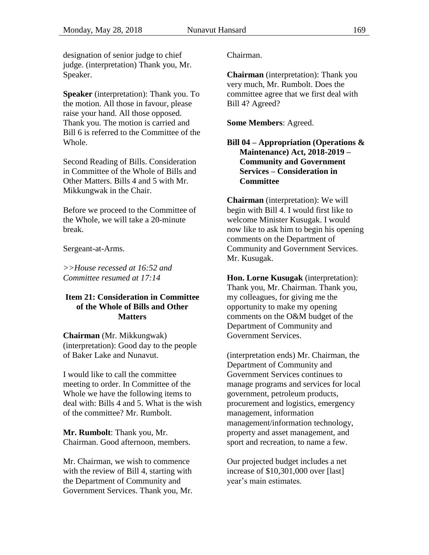designation of senior judge to chief judge. (interpretation) Thank you, Mr. Speaker.

**Speaker** (interpretation): Thank you. To the motion. All those in favour, please raise your hand. All those opposed. Thank you. The motion is carried and Bill 6 is referred to the Committee of the Whole.

Second Reading of Bills. Consideration in Committee of the Whole of Bills and Other Matters. Bills 4 and 5 with Mr. Mikkungwak in the Chair.

Before we proceed to the Committee of the Whole, we will take a 20-minute break.

Sergeant-at-Arms.

*>>House recessed at 16:52 and Committee resumed at 17:14*

### <span id="page-48-0"></span>**Item 21: Consideration in Committee of the Whole of Bills and Other Matters**

**Chairman** (Mr. Mikkungwak) (interpretation): Good day to the people of Baker Lake and Nunavut.

I would like to call the committee meeting to order. In Committee of the Whole we have the following items to deal with: Bills 4 and 5. What is the wish of the committee? Mr. Rumbolt.

**Mr. Rumbolt**: Thank you, Mr. Chairman. Good afternoon, members.

Mr. Chairman, we wish to commence with the review of Bill 4, starting with the Department of Community and Government Services. Thank you, Mr. Chairman.

**Chairman** (interpretation): Thank you very much, Mr. Rumbolt. Does the committee agree that we first deal with Bill 4? Agreed?

**Some Members**: Agreed.

### <span id="page-48-1"></span>**Bill 04 – Appropriation (Operations & Maintenance) Act, 2018-2019 – Community and Government Services – Consideration in Committee**

**Chairman** (interpretation): We will begin with Bill 4. I would first like to welcome Minister Kusugak. I would now like to ask him to begin his opening comments on the Department of Community and Government Services. Mr. Kusugak.

**Hon. Lorne Kusugak** (interpretation): Thank you, Mr. Chairman. Thank you, my colleagues, for giving me the opportunity to make my opening comments on the O&M budget of the Department of Community and Government Services.

(interpretation ends) Mr. Chairman, the Department of Community and Government Services continues to manage programs and services for local government, petroleum products, procurement and logistics, emergency management, information management/information technology, property and asset management, and sport and recreation, to name a few.

Our projected budget includes a net increase of \$10,301,000 over [last] year's main estimates.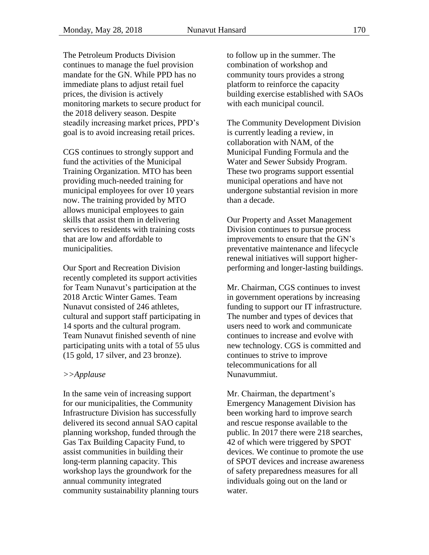The Petroleum Products Division continues to manage the fuel provision mandate for the GN. While PPD has no immediate plans to adjust retail fuel prices, the division is actively monitoring markets to secure product for the 2018 delivery season. Despite steadily increasing market prices, PPD's goal is to avoid increasing retail prices.

CGS continues to strongly support and fund the activities of the Municipal Training Organization. MTO has been providing much-needed training for municipal employees for over 10 years now. The training provided by MTO allows municipal employees to gain skills that assist them in delivering services to residents with training costs that are low and affordable to municipalities.

Our Sport and Recreation Division recently completed its support activities for Team Nunavut's participation at the 2018 Arctic Winter Games. Team Nunavut consisted of 246 athletes, cultural and support staff participating in 14 sports and the cultural program. Team Nunavut finished seventh of nine participating units with a total of 55 ulus (15 gold, 17 silver, and 23 bronze).

#### *>>Applause*

In the same vein of increasing support for our municipalities, the Community Infrastructure Division has successfully delivered its second annual SAO capital planning workshop, funded through the Gas Tax Building Capacity Fund, to assist communities in building their long-term planning capacity. This workshop lays the groundwork for the annual community integrated community sustainability planning tours to follow up in the summer. The combination of workshop and community tours provides a strong platform to reinforce the capacity building exercise established with SAOs with each municipal council.

The Community Development Division is currently leading a review, in collaboration with NAM, of the Municipal Funding Formula and the Water and Sewer Subsidy Program. These two programs support essential municipal operations and have not undergone substantial revision in more than a decade.

Our Property and Asset Management Division continues to pursue process improvements to ensure that the GN's preventative maintenance and lifecycle renewal initiatives will support higherperforming and longer-lasting buildings.

Mr. Chairman, CGS continues to invest in government operations by increasing funding to support our IT infrastructure. The number and types of devices that users need to work and communicate continues to increase and evolve with new technology. CGS is committed and continues to strive to improve telecommunications for all Nunavummiut.

Mr. Chairman, the department's Emergency Management Division has been working hard to improve search and rescue response available to the public. In 2017 there were 218 searches, 42 of which were triggered by SPOT devices. We continue to promote the use of SPOT devices and increase awareness of safety preparedness measures for all individuals going out on the land or water.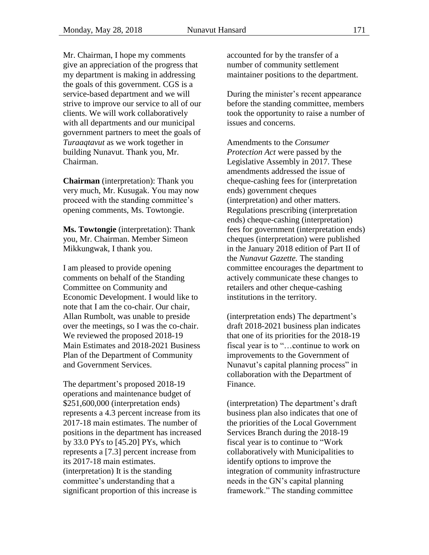Mr. Chairman, I hope my comments give an appreciation of the progress that my department is making in addressing the goals of this government. CGS is a service-based department and we will strive to improve our service to all of our clients. We will work collaboratively with all departments and our municipal government partners to meet the goals of *Turaaqtavut* as we work together in building Nunavut. Thank you, Mr. Chairman.

**Chairman** (interpretation): Thank you very much, Mr. Kusugak. You may now proceed with the standing committee's opening comments, Ms. Towtongie.

**Ms. Towtongie** (interpretation): Thank you, Mr. Chairman. Member Simeon Mikkungwak, I thank you.

I am pleased to provide opening comments on behalf of the Standing Committee on Community and Economic Development. I would like to note that I am the co-chair. Our chair, Allan Rumbolt, was unable to preside over the meetings, so I was the co-chair. We reviewed the proposed 2018-19 Main Estimates and 2018-2021 Business Plan of the Department of Community and Government Services.

The department's proposed 2018-19 operations and maintenance budget of \$251,600,000 (interpretation ends) represents a 4.3 percent increase from its 2017-18 main estimates. The number of positions in the department has increased by 33.0 PYs to [45.20] PYs, which represents a [7.3] percent increase from its 2017-18 main estimates. (interpretation) It is the standing committee's understanding that a significant proportion of this increase is

accounted for by the transfer of a number of community settlement maintainer positions to the department.

During the minister's recent appearance before the standing committee, members took the opportunity to raise a number of issues and concerns.

Amendments to the *Consumer Protection Act* were passed by the Legislative Assembly in 2017. These amendments addressed the issue of cheque-cashing fees for (interpretation ends) government cheques (interpretation) and other matters. Regulations prescribing (interpretation ends) cheque-cashing (interpretation) fees for government (interpretation ends) cheques (interpretation) were published in the January 2018 edition of Part II of the *Nunavut Gazette.* The standing committee encourages the department to actively communicate these changes to retailers and other cheque-cashing institutions in the territory.

(interpretation ends) The department's draft 2018-2021 business plan indicates that one of its priorities for the 2018-19 fiscal year is to "…continue to work on improvements to the Government of Nunavut's capital planning process" in collaboration with the Department of Finance.

(interpretation) The department's draft business plan also indicates that one of the priorities of the Local Government Services Branch during the 2018-19 fiscal year is to continue to "Work collaboratively with Municipalities to identify options to improve the integration of community infrastructure needs in the GN's capital planning framework." The standing committee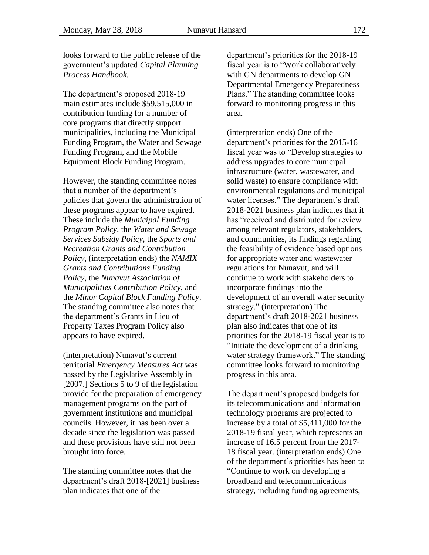looks forward to the public release of the government's updated *Capital Planning Process Handbook.*

The department's proposed 2018-19 main estimates include \$59,515,000 in contribution funding for a number of core programs that directly support municipalities, including the Municipal Funding Program, the Water and Sewage Funding Program, and the Mobile Equipment Block Funding Program.

However, the standing committee notes that a number of the department's policies that govern the administration of these programs appear to have expired. These include the *Municipal Funding Program Policy*, the *Water and Sewage Services Subsidy Policy*, the *Sports and Recreation Grants and Contribution Policy*, (interpretation ends) the *NAMIX Grants and Contributions Funding Policy*, the *Nunavut Association of Municipalities Contribution Policy*, and the *Minor Capital Block Funding Policy*. The standing committee also notes that the department's Grants in Lieu of Property Taxes Program Policy also appears to have expired.

(interpretation) Nunavut's current territorial *Emergency Measures Act* was passed by the Legislative Assembly in [2007.] Sections 5 to 9 of the legislation provide for the preparation of emergency management programs on the part of government institutions and municipal councils. However, it has been over a decade since the legislation was passed and these provisions have still not been brought into force.

The standing committee notes that the department's draft 2018-[2021] business plan indicates that one of the

department's priorities for the 2018-19 fiscal year is to "Work collaboratively with GN departments to develop GN Departmental Emergency Preparedness Plans." The standing committee looks forward to monitoring progress in this area.

(interpretation ends) One of the department's priorities for the 2015-16 fiscal year was to "Develop strategies to address upgrades to core municipal infrastructure (water, wastewater, and solid waste) to ensure compliance with environmental regulations and municipal water licenses." The department's draft 2018-2021 business plan indicates that it has "received and distributed for review among relevant regulators, stakeholders, and communities, its findings regarding the feasibility of evidence based options for appropriate water and wastewater regulations for Nunavut, and will continue to work with stakeholders to incorporate findings into the development of an overall water security strategy." (interpretation) The department's draft 2018-2021 business plan also indicates that one of its priorities for the 2018-19 fiscal year is to "Initiate the development of a drinking water strategy framework." The standing committee looks forward to monitoring progress in this area.

The department's proposed budgets for its telecommunications and information technology programs are projected to increase by a total of \$5,411,000 for the 2018-19 fiscal year, which represents an increase of 16.5 percent from the 2017- 18 fiscal year. (interpretation ends) One of the department's priorities has been to "Continue to work on developing a broadband and telecommunications strategy, including funding agreements,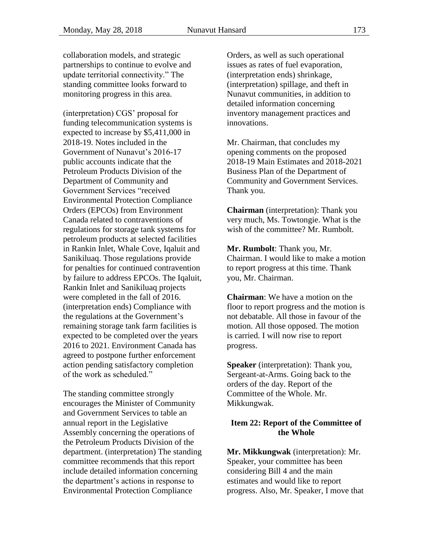collaboration models, and strategic partnerships to continue to evolve and update territorial connectivity." The standing committee looks forward to monitoring progress in this area.

(interpretation) CGS' proposal for funding telecommunication systems is expected to increase by \$5,411,000 in 2018-19. Notes included in the Government of Nunavut's 2016-17 public accounts indicate that the Petroleum Products Division of the Department of Community and Government Services "received Environmental Protection Compliance Orders (EPCOs) from Environment Canada related to contraventions of regulations for storage tank systems for petroleum products at selected facilities in Rankin Inlet, Whale Cove, Iqaluit and Sanikiluaq. Those regulations provide for penalties for continued contravention by failure to address EPCOs. The Iqaluit, Rankin Inlet and Sanikiluaq projects were completed in the fall of 2016. (interpretation ends) Compliance with the regulations at the Government's remaining storage tank farm facilities is expected to be completed over the years 2016 to 2021. Environment Canada has agreed to postpone further enforcement action pending satisfactory completion of the work as scheduled."

The standing committee strongly encourages the Minister of Community and Government Services to table an annual report in the Legislative Assembly concerning the operations of the Petroleum Products Division of the department. (interpretation) The standing committee recommends that this report include detailed information concerning the department's actions in response to Environmental Protection Compliance

Orders, as well as such operational issues as rates of fuel evaporation, (interpretation ends) shrinkage, (interpretation) spillage, and theft in Nunavut communities, in addition to detailed information concerning inventory management practices and innovations.

Mr. Chairman, that concludes my opening comments on the proposed 2018-19 Main Estimates and 2018-2021 Business Plan of the Department of Community and Government Services. Thank you.

**Chairman** (interpretation): Thank you very much, Ms. Towtongie. What is the wish of the committee? Mr. Rumbolt.

**Mr. Rumbolt**: Thank you, Mr. Chairman. I would like to make a motion to report progress at this time. Thank you, Mr. Chairman.

**Chairman**: We have a motion on the floor to report progress and the motion is not debatable. All those in favour of the motion. All those opposed. The motion is carried. I will now rise to report progress.

**Speaker** (interpretation): Thank you, Sergeant-at-Arms. Going back to the orders of the day. Report of the Committee of the Whole. Mr. Mikkungwak.

#### <span id="page-52-0"></span>**Item 22: Report of the Committee of the Whole**

**Mr. Mikkungwak** (interpretation): Mr. Speaker, your committee has been considering Bill 4 and the main estimates and would like to report progress. Also, Mr. Speaker, I move that